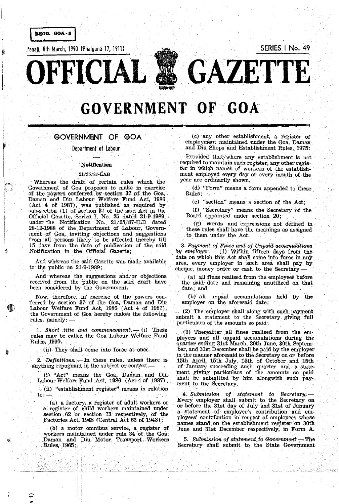**REGD. GOA-5** 

Panaji, 8th March, 1990 (Phaiguna 17, 1911) **SERIES I No. 49** 

**OFFICIAL GAZETTE** 

# **GOVERNMENT OF GOA**

# **GOVERNMENT OF GOA.**

Department of labour

#### Notification

#### '. *21/25/87-iAB*

Whereas the draft of certain rules which the Government of Goa proposes to make in exercise of the powers conferred. by section 37. of the Goa, Daman. and Diu. Labour Welfare Fund Act, 1986 (Act 4 of 1987), was published as required by sub-section (1) of section 37 of the said Act in the Official Gazette, Series I, No. 25 dated 21-9-1989, . under the . Notification No. 21/25/87-ILD dated 28-12-1988 of the. Department of Labour, Government of GQa, inviting objections and suggestions from all persons likely to be affected thereby till 15 days from the date of publication of the. said Notification in the Official Gazette;

And whereas the said Gazette was made available to the public on 21-9-1989;

And whereas the suggestions and/or objections received from the public on ·the said draft have been considered by the Government.

Now, therefore, in' exercise· of the' powers conferred by section 37 of the Goa, Daman and. Diu Labour Welfare Fund Act, 1986 (Act 4 of 1987), the Government of Goa hereby makes the following rules,  $namely:$   $-$ 

1. Short title and *commencement*. -- (i) These rules may be called the Goa Labour Welfare Fund Rules, 1990.

(ii). They shall come into force at once.

2. *Definitions.* --- In these rules, unless there is anything repugnant in the subject or context,-

(i) "Act" means the Goa, Daman and Diu Labour Welfare Fund Act, 1986 (Act 4 of 1987);

(ii) "establishment register" means in relation to:  $-$ 

(a) a factory, a register of adult workers or a register of child workers maintained under section 62 or section 73 respectively, of the Factories Act, 1948 (Central Act 63 of 1948);

(b) a motor omnibus service, a register of workers maintained under rule 34 of the Goa, Daman and Diu Motor. Transport Workers Rules, 1965;

 $\ddot{\phantom{0}}$ ,

组

n,

(e) any other establishment, a register of employment maintained under the Goa, Daman. and Diu Shops and Establishment Rules, 1975:

Provided that/where any establishment is not required to maintain such register, any other register in which names of workers of the establish-<br>ment employed every day or every month of the year are ordinarily shown.

 $(d)$  "Form" means a form appended to these Rules;

(e) "section" means a section of the Act;

(f) "Secretary" means the Secretary of the Board appointed under section 20;'

 $(g)$  Words and expressions not defined in these rules shall have the meanings as assigned to them under the Act.

. 3. *Payment of Fines* and *of Unpaid accumulciti0n3 by employer.* -- (1) Within fifteen days from the date on which this Act shall come into force in any area, every employer in such area shall pay' by cheque, money order or cash to the Secretary

(a) all fines realised from the employees before the said date and remaining unutilized on that date; and

(b) all unpaid accumulations held by the employer on the aforesaid date;

(2)' The employer shall along with such payment submit a statement to the Secretary. giving' full particulars of the amounts so paid;

(3) Thereafter all fines realised from the employees and ali unpaid accumulations during the quarter ending 31st MarCh, 30th June, 30th September, and 31st December shall be paid by the employer in the manner aforesaid to the Secretary on or before 15th. April, 15th July, 15th of October. and 15th of January succeeding such quarter and a statement giving particulars of the amounts so paid shall be submitted. by him alongwith such. payment to the Secretary.

*4. Submission* of *statement to ·Secretary.-* Every employer shall submit to the Secretary on or before the 31st day of July and 31st of January a statement of employer's contribution and employees' contribution in respect of employees whose parnes stand on the establishment register on 30th . June and 31st December respectively; in Form A.

5. Submission of statement to Government - The Secretary shall submit to the State Government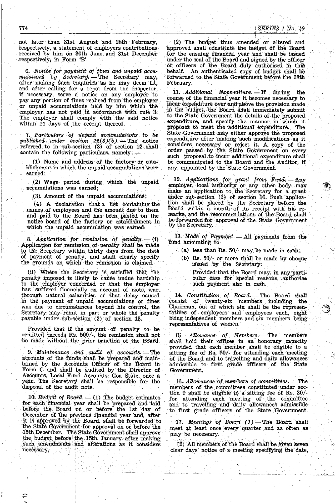not later than 31st August and 28th February, respectively, a statement of employers contributions received by him on 30th June and 31st December respectively, in Form 'B'.

6. Notice for payment of fines and unpaid accumulations by Secretary. — The Secretary may, after making such enquiries as he may deem fit, and after calling for a repot from the Inspector, if necessary, serve a notice on any employer to<br>pay any portion of fines realised from the employer or unpaid accumulations held by him which the employer has not paid in accordance with rule 3. The employer shall comply with the said notice<br>within 14 days of the receipt thereof.

7. Particulars of unpaid accumulations to be published under section  $12(3)(b)$ . The notice referred to in sub-section (3) of section 12 shall contain the following particulars, namely:

(1) Name and address of the factory or establishment in which the unpaid accumulations were earned:

(2) Wage period during which the unpaid accumulations was earned;

(3) Amount of the unpaid accumulations;

 $(4)$  A declaration that a list containing the names of employees and the amount due to them and paid to the Board has been pasted on the<br>notice board of the factory or establishment in<br>which the unpaid accumulation was earned.

8. Application for remission of penalty. -- (i)<br>Application for remission of penalty shall be made<br>to the Secretary within thirty days from the date of payment of penalty, and shall clearly specify the grounds on which the remission is claimed.

(ii) Where the Secretary is satisfied that the penalty imposed is likely to cause undue hardship to the employer concerned or that the employer has suffered financially on account of riots, war,<br>through natural calamities or that delay caused in the payment of unpaid accumulations or fines was due to circumstances beyond his control, the Secretary may remit in part or whole the penalty payable under sub-section (2) of section 13.

Provided that if the amount of penalty to be remitted exceeds Rs. 500/-, the remission shall not be made without the prior sanction of the Board.

9. Maintenance and audit of accounts. - The accounts of the funds shall be prepared and maintained by the Accounts Officer of the Board in Form C and shall be audited by the Director of Accounts, Local Fund Accounts, Goa State, once a year. The Secretary shall be responsible for the disposal of the audit note.

10. Budget of Board.  $-$  (1) The budget estimates for each financial year shall be prepared and laid before the Board on or before the 1st day of December of the previous financial year and, after it is approved by the Board, shall be forwarded to the State Government for approval on or before the 15th December. The State Government shall approve the budget before the 15th January after making<br>such amendments and alterations as it considers necessary.

 $\widehat{\mathbf{t}}$ 

(2) The budget thus amended or altered and approved shall constitute the budget of the Board for the ensuing financial year and shall be issued<br>under the seal of the Board and signed by the officer or officers of the Board duly authorised in this behalf. An authenticated copy of budget shall be forwarded to the State Government before the 28th February.

11. Additional Expenditure. - If during the course of the financial year it becomes necessary to incur expenditure over and above the provision made in the budget, the Board shall immediately submit to the State Government the details of the proposed expenditure, and specify the manner in which it proposes to meet the additional expenditure. The State Government may either approve the proposed expenditure after making such modifications as it considers necessary or reject it. A copy of the order passed by the State Government on every such proposal to incur additional expenditure shall be communicated to the Board and the Auditor, if any, appointed by the State Government.

12. Applications for grant from Fund. - Any employer, local authority or any other body, may make an application to the Secretary for a grant under sub-section (3) of section 16. Such application shall be placed by the Secretary before the Board within a month of its receipt with his remarks, and the recommendations of the Board shall be forwarded for approval of the State Government by the Secretary.

13. Mode of Payment. - All payments from the fund amounting to

- (a) less than Rs.  $50/$  may be made in cash;
- (b) Rs. 50/- or more shall be made by cheque issued by the Secretary:

Provided that the Board may, in any particular case for special reasons, authorise such payment also in cash.

14. Constitution of Board. - The Board shall consist of twenty-six members including the Chairman, out of which six shall be the representatives of employers and employees each, eight being independent members and six members being representatives of women.

15. Allowance of Members. The members shall hold their offices in an honorary capacity provided that each member shall be eligible to a sitting fee of Rs. 30/- for attending each meeting of the Board and to travelling and daily allowances admissible to first grade officers of the State Government.

16. Allowances of members of committees. - The members of the committees constituted under section 9 shall be eligible to a sitting fee of Rs. 30/for attending each meeting of the committee and to travelling and daily allowances admissible<br>to first grade officers of the State Government.

17. Meetings of Board (1) - The Board shall meet at least once every quarter and as often as may be necessary.

(2) All members of the Board shall be given seven clear days' notice of a meeting specifying the date,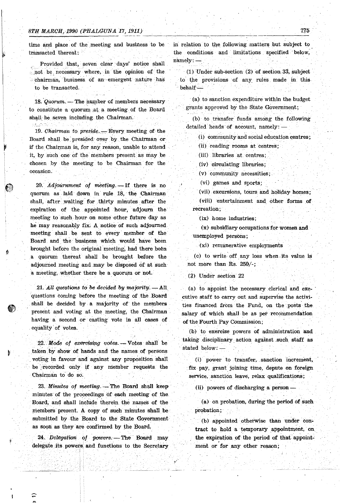I

qr

time and place. of the meeting and business to be transacted thereat:

Provided that, seven clear days' notice shall . not be necessary where, in the opinion of the .,.chairman, . business of an emergent nature has to be transacted.

18. *Quorum.* — The number of members necessary to constitute a quorum at a meeting of the Board shall be seven including the Chairman.

19. *Chairman to preside.* - Every meeting of the Board shall. be presided over by the Chairman or if the Chairman is, for any reason, unable to attend it, by such one of the members present as may be chosen by the meeting to be Chairman for the **occasion.** 

20. Adjournment of meeting. - If there is no quorum as laid down in rule 18, the Chairman shall, after waiting for thirty minutes after the expiration of the appointed hour, adjourn the meeting to such hour on some other future day as he may reasonably fix. A notice of such adjourned meeting shall be sent to every member of the Board. and the business which would have been brought before the original meeting, had there been a quorum thereat shall be brought before the adjourned meeting and. may be disposed of at such a meeting, whether there be a quorum or not.

21. All questions to be decided by majority. — All. questions coming before the meeting of the Board shall be decided by a majority of the members present and voting at the meeting, the Chairman having a second or casting vote in all cases of equality of votes.

22. Mode of exercising votes. - Votes shall be taken by show of hands and the names of persons voting in favour and against any proposition shall be recorded only if any member requests the Chairman to do so.

23. Minutes of meeting. - The Board shall keep minutes' of the proceedings Of each meeting of the. Board, and shall include therein the names of the members present. A copy of such minutes shall be submitted by the Board to the State Government as soon as they are confirmed by the Board.

24. Delegation of powers. - The Board may delegate its powers and functions to the Secretary

> . :  $\mathbb{R}$

≘

in relation to the following matters but subject to the conditions and limitations specified below, namely:- .

 $(1)$  Under sub-section  $(2)$  of section 33, subject to' the provisions of any rules. made in this  $behalf-$ 

. (a) to sanction expenditure within the budget grants approved by the State Government; .

 $(b)$  to transfer funds among the following detailed heads of account, namely: -

0) community and social education centres;

(ii) reading rooms at centres;

(iii) libraries at centres;.

, (iv) circulating libraries;

(v) community necessities;

(vi) games and sports;

(vii) excursions, tours and holiday homes; (viii) entertainment and other forms of **recreation;** 

(ix) home industries;

(x) subsidiary occupations for women and unemployed persons;

-(xi) remunerative employments

(c) to write off any loss when, its value is not more than Rs. 250/-;

(2) Under section 22

 $(a)$  to appoint the necessary clerical and executive staff to carry out and supervise the activities financed from the Fund, on the posts the salary of which shall be as per recommendation of the Fourth Pay Commission;

(bl to exercise powers of administration and taking disciplinary action against such staff as stated below. -

(i) power to transfer, sanction increment, fix pay, grant joining time, depute on foreign service, sanction leave, relax qualifications;

(ii) powers of discharging a person-

(a) on probation, during the period of such probation;

(b) appointed otherwise than under contract to hold a temporary appointment, on the expiration of the period of that appointment or for any other reason;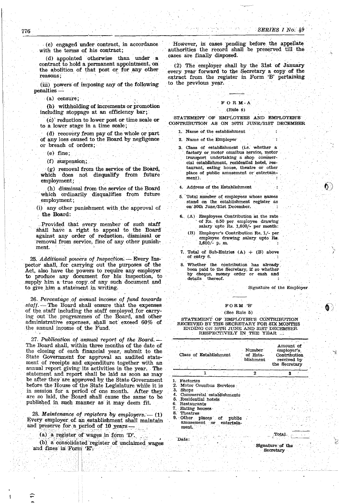. (c) engaged under contract, in accordance with the terms of his contract;

(d) appointed otherwise than under a contract to hold a permanent appointment, on the abolition of that post or for any other reasons;

(iii) powers of imposing any of the following penalties -

 $(a)$  censure;

(b) withholding of increments or promotion including stoppage at an efficiency bar;

(el' reduction to lower post or timescale or to a. lower stage in a time scale;

(d) recovery from pay of the whole or part of any loss caused to the Board by negligence or breach of orders;

(e) fine;

(f) suspension;

. (g) removal from the service of the Board, which does not disqualify from future employment;

(h) dismissal from· the service of the Board which ordinarily disqualifies from future employment;

(i) any other punishment with. the approval of the Board:

. Provided that every member of such staff shall have a right to appeal to the Board against any order of reduction, dismissal or removal from service, fine of any other punishment.

25. Additional powers of Inspection. -- Every Inspector shall, for carrying out the purposes of the Act, also have the powers· to require any employer to produce any document for his inspection, to supply him a true copy. of any such document and to give him a statement in writing.

26 .. *Percentage .oj annual income.of fund towards*  staff. - The Board shall ensure that the expenses of the staff including the staff employed for carrying out the. programmes of the Board, and other administrative expenses, shall not exceed 60% of the annual income of the Fund.

*27. Publication of annual report of the Board.-* The Board shall, within three months of the date of the closing of each financial year, submit to the State GoVernment for approval an audited statement of receipts and expenditure together with an annual report giving its activities in the year. The statement and report shall be laid as soon as may be after they are approved by the State Government before the House of the State Legislature while it is in session for a period of one month. After they are so laid, the Board shall cause the same' to be published in such manner as it may deem fit.

28. *Maintenance of registers by employers.* -- (1) Every employer of an establishment shall maintain and preserve for a period of 10 years

(a) a register of wages in form 'D'.

:'j

(b). a consolidated register of unclaimed wages and fines in Form 'E';

However, in cases pending before the appellate authorities the record shall be preserved till the cases are finally disposed. SERIES I No. 49<br>
However, in cases pending before the appellate<br>
authorities the record shall be preserved till the<br>
cases are finally disposed.<br>
(2) The employer shall by the 31st of January

(2) The employer shall by the 31st of January every year forward to the Secretary a copy of the extract from the register in Form 'B' pertaining to the previous year.

## FORM-A

#### (Rule 4)

STATEMENT' OF EMPLOYEES AND EMPLOYER'S CONTRIBUTION AS ON 30TH JUNE/31ST DECEMBER

**1. Name of. the establishment** 

**2. Name of the, Employer** 

**3. Class of establishment (i.e: whether a**  factory or motor omnibus service, motor transport undertaking a shop commer**cial establishment, residential hotel, restaurant; eating house,. theatre or other**  place of public amusement or entertain-**,ment).** 

**4. Address of the Establishment** 

- $5.$  Total number of employees whose names **stand on the\_ establishment register as on' 30th June/31st pecember.**
- **6.** (A) Employees Contribution at the rate of Rs. 0.50 per employee drawing **salary upto Rs. 1,600(- per month:** 
	- **(B) Employer's Contribution Re. 1/- per** employee drawing salary upto Rs. *1,600/-* p, m,
- 7. Total of Sub-Entries  $(A)$  +  $(B)$  above of entry 6.
- **8. Whether the contribution has already** been paid to the Secretary, if so whether by cheque, money order or cash and **details thereof.**

~ignature **of the Employer** 

 $\mathfrak{h}$ 

\. j

 $\bullet$ 

#### **FORM 'B'**

#### (See Rule 5l

STATEMENT OF EMPLOYER'S cONTRIBUTlON RECElVED BY THE SECRETARY FOR SIX MONTHS ENDING ON 30TH JUNE 'ANI! 31ST DECEMBER RESPECTIVELY IN THE YEAR ...

| Class of Establishment                                                                                                                                                                                                                   | Number<br>of Esta-<br>blishment | Amount of<br>employer's<br>Contribution<br>received by<br>the Secretary |
|------------------------------------------------------------------------------------------------------------------------------------------------------------------------------------------------------------------------------------------|---------------------------------|-------------------------------------------------------------------------|
| 1                                                                                                                                                                                                                                        | 2                               | 3                                                                       |
| 1. Factories<br>2. Motor Omnibus Services<br>3. Shops<br>4. Commercial establishments<br>5. Residential hotels<br>6. Restaurants<br>7. Eating houses.<br>8.<br>Theatres<br>9. Other places of public<br>amusement or entertain-<br>ment. |                                 |                                                                         |
|                                                                                                                                                                                                                                          |                                 | .Total:                                                                 |
| Date:                                                                                                                                                                                                                                    |                                 | Signature of the                                                        |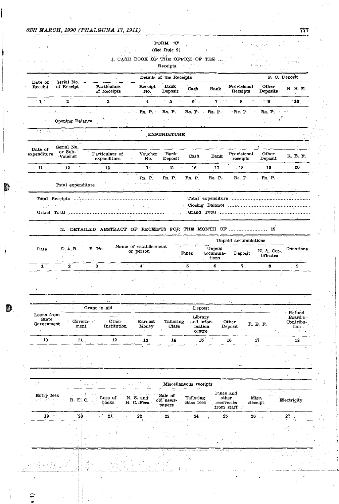€

# FORM 'C'

## (See Rule  $9$ )

 $\pm 1$ 

 $\omega$  , then  $\omega_{\rm g}$ 

1. CASH BOOK OF THE OFFICE OF THE ...

ulari son<br>S

Receipts  $\bar{\mathcal{A}}$ 

|                                        |                                                         |                          |                                                        |                           | Details of the Receipts        |                                                    |                                                |                         |                                                           | P. O. Deposit                                             |
|----------------------------------------|---------------------------------------------------------|--------------------------|--------------------------------------------------------|---------------------------|--------------------------------|----------------------------------------------------|------------------------------------------------|-------------------------|-----------------------------------------------------------|-----------------------------------------------------------|
| Date of<br>Receipt                     | Serial No. -<br>of Receipt                              |                          | Particulars<br>of Receipts                             | Receipt<br>No.            | Bank<br>Deposit                | $Cash$                                             | Bank                                           | Provisional<br>Receipts | Other<br>Deposits                                         | R. B. F.<br>$\sim$                                        |
| $\mathbf{1}$                           | $\mathbf{z}$                                            |                          | $3 -$                                                  | 化磷酸                       | $5^{\circ}$<br>$\sim$          | $6^{\circ}$ .                                      | 7.5.5                                          | $\mathbf{3}$            | ு அ                                                       | $\mathbf{C}$ 10 $\mathbf{C}$                              |
|                                        | $\sum_{i=1}^N \frac{1}{\ x_i\ } \leq \frac{1}{\ x_i\ }$ | <b>Carl Construction</b> |                                                        | Rs. P.                    |                                | Rs. P. Rs. P. Rs. P.                               |                                                | $Rs$ . $P$ .            |                                                           | $\mathbf{Rs}, \; \mathbf{P}, \; \ldots, \; \ldots$        |
|                                        | Opening Balance                                         |                          |                                                        |                           | $\gamma$ , and $\gamma$ , and  | 정도 그만 다                                            | t N                                            |                         |                                                           | پې<br>ب                                                   |
| Marks                                  | Maria San                                               |                          |                                                        |                           | EXPENDITURE                    |                                                    |                                                |                         |                                                           |                                                           |
|                                        |                                                         |                          |                                                        | and and                   | a da sala                      |                                                    |                                                |                         |                                                           |                                                           |
| Date of<br>expenditure                 | Serial No.<br>$or$ Sub- $'$<br>-Voucher                 |                          | Particulars of                                         | Voucher                   | Bank                           | Cash                                               | Bank                                           | Provisional             | Other                                                     | R. B. F.                                                  |
|                                        |                                                         |                          | expenditure                                            | No.                       | Deposit                        |                                                    |                                                | receipts                | Deposit<br>19                                             | 20                                                        |
| 11                                     | 12                                                      |                          | 13                                                     | 14<br>$\omega_{\rm{max}}$ | 15                             | 16                                                 | $\overline{\phantom{a}}^{17}$                  | $\sqrt{18}$             |                                                           |                                                           |
|                                        |                                                         | Total expenditure        | $\gamma \sim 10^{11}$                                  | Rs. P.                    | Rs. P.                         | Rs. P.                                             | Rs. P.                                         | Rs. P.                  | $R_{\rm S}$ , P.<br>$\sim 1.5$ pc $\sim 25$ .             |                                                           |
|                                        |                                                         |                          |                                                        |                           |                                | $\mathcal{O}(\mathcal{E}_\mathbf{z}^{\text{max}})$ |                                                |                         |                                                           |                                                           |
|                                        |                                                         |                          | II. DETAILED ABSTRACT OF RECEIPTS FOR THE MONTH OF  19 |                           |                                |                                                    |                                                |                         |                                                           |                                                           |
|                                        |                                                         |                          |                                                        | Name of establishment     |                                |                                                    |                                                | Unpaid accumulations    |                                                           |                                                           |
| Date                                   | $\sim 10^{-1}$                                          | $D.A.R.$ R. No.          |                                                        | or person                 |                                | Fines                                              | Unpaid<br>accumula-<br>tions                   | Deposit                 | N. S. Cer-<br>tificates<br>$\mathcal{L}^{\mathcal{L}}(1)$ | Donations<br>$\alpha$ , $\alpha$ , $\alpha$ , $\alpha$    |
|                                        |                                                         |                          |                                                        |                           |                                |                                                    |                                                |                         |                                                           |                                                           |
| $\mathbf{1}$                           | $\mathbf{z}$                                            | $-3$                     |                                                        | $\sim 4$                  |                                | 7. L.<br>5                                         | $\mathbf{6}$                                   | $\overline{\mathbf{r}}$ | $\mathbf{8}$                                              | 9                                                         |
|                                        |                                                         | . iv                     | <b>Carl Carl Corp.</b><br><b>Superior Co.</b>          |                           |                                |                                                    |                                                |                         |                                                           |                                                           |
| State                                  |                                                         | Govern-<br>ment          | Grant in aid<br>الدوعمر<br>Other<br>Institution        | Earnest<br>Money          | Tailoring<br>Class             | Deposit<br>Library<br>and infor-<br>mation         |                                                | Other<br>Deposit        | R. B. F.                                                  | Refund<br>Board's<br>Contribu-<br>tion                    |
|                                        |                                                         |                          | 12                                                     |                           |                                | centre                                             |                                                |                         |                                                           | $\mathcal{F}_{\mathcal{M}}$ , $\mathcal{F}_{\mathcal{M}}$ |
| $10^{\circ}$                           |                                                         | $\mathbf{11}$            |                                                        | 13                        | 14                             | $15$ .                                             |                                                | 16                      | 17                                                        | 18                                                        |
|                                        |                                                         |                          |                                                        |                           |                                |                                                    |                                                |                         |                                                           |                                                           |
|                                        |                                                         |                          |                                                        |                           |                                |                                                    |                                                |                         |                                                           |                                                           |
|                                        |                                                         |                          |                                                        |                           |                                | Miscellaneous receipts                             |                                                |                         |                                                           |                                                           |
| Loans from<br>Government<br>Entry fees |                                                         | R. E. C.                 | Loss of<br>books                                       | N. S. and<br>H. C. Fees   | Sale of<br>old news-<br>papers | Tailoring<br>class fees                            | Fines and<br>other<br>recoveries<br>from staff |                         | Misc.<br>Receipt                                          | Electricity                                               |
| $19 - 77$                              |                                                         | 20                       | $\pm 1$ 21                                             | $22\,$<br>13              | 23                             | $24 - 3$                                           | 25                                             |                         | 26                                                        | 27                                                        |
|                                        |                                                         |                          |                                                        |                           |                                |                                                    |                                                |                         |                                                           |                                                           |
|                                        |                                                         |                          |                                                        |                           |                                |                                                    |                                                |                         |                                                           |                                                           |
|                                        |                                                         |                          |                                                        |                           |                                |                                                    |                                                |                         |                                                           |                                                           |
|                                        |                                                         |                          |                                                        |                           |                                |                                                    |                                                |                         |                                                           |                                                           |
|                                        |                                                         |                          |                                                        |                           |                                |                                                    |                                                |                         |                                                           |                                                           |

777

 $\mathcal{A}_{\mathbf{C},\mathbf{C}}^{\mathbf{C}}$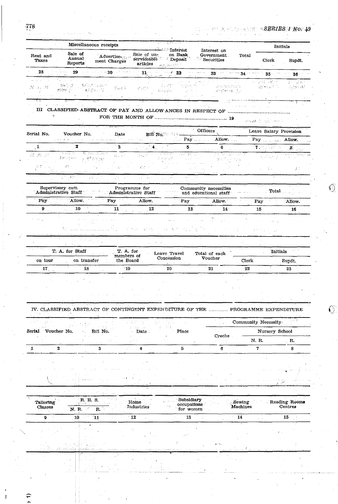$\widehat{\phantom{a}}$ 

-1

 $\mathbb{O}$ 

 $\overline{O}$ 

|                      |                                        | Miscellaneous receipts                                                           |                                                | <b><i>Communicat</i></b>                                                                           | Interest on                                                                     |                      | Initials                                                                                                                                                                                                                                                                                                                                                                                                       |                          |
|----------------------|----------------------------------------|----------------------------------------------------------------------------------|------------------------------------------------|----------------------------------------------------------------------------------------------------|---------------------------------------------------------------------------------|----------------------|----------------------------------------------------------------------------------------------------------------------------------------------------------------------------------------------------------------------------------------------------------------------------------------------------------------------------------------------------------------------------------------------------------------|--------------------------|
| Rent and<br>Taxes    | Sale of<br>Annual -<br>Reports         | Advertise-<br>ment Charges                                                       | Sale of un-<br>articles                        | on Bank<br>serviceable Deposit<br>Philosophia                                                      | Government.<br>Securities                                                       | Total                | <b>Clerk</b>                                                                                                                                                                                                                                                                                                                                                                                                   | Supdt.                   |
| -28                  |                                        |                                                                                  | $\mathcal{H}^{\pm}$ and $\mathcal{H}^{\pm}$    |                                                                                                    | $31$ and $32$ and $33$ and $33$ and $34$ and $35$ and                           |                      |                                                                                                                                                                                                                                                                                                                                                                                                                | $36 -$                   |
| N 31 M               | ा पुरुष हिन्दी है।<br>Properties in    | <b>Banglety and</b><br>$\gamma_{\rm gas}$ and $\gamma_{\rm s}$<br><b>Comment</b> | $\beta^2\left(\bigcup_{i=1}^n\bigcap_i\right)$ | $\frac{1}{12}\frac{1}{12}\frac{1}{12}\frac{1}{12}$<br>$\mathbb{F}_q \times \mathbb{S}$ as a point. | construction of the Second<br><b>Control of the Second Co</b>                   |                      | 나는 고려 들렸다<br>kales di Co                                                                                                                                                                                                                                                                                                                                                                                       | ne dan<br>اللاح الإلايان |
|                      |                                        |                                                                                  |                                                |                                                                                                    |                                                                                 |                      |                                                                                                                                                                                                                                                                                                                                                                                                                |                          |
|                      |                                        |                                                                                  |                                                |                                                                                                    |                                                                                 |                      | arrived of copyright them to                                                                                                                                                                                                                                                                                                                                                                                   |                          |
| Serial No.           | Voucher No.                            | Date                                                                             |                                                |                                                                                                    | Officers                                                                        |                      | Leave Salary Provision                                                                                                                                                                                                                                                                                                                                                                                         |                          |
|                      |                                        | المستحقق والمستعمل والمتعارف والمستناد والمتحدث والمتحدث والمتحدث والمتحدث       | <b>Program</b>                                 |                                                                                                    | Allow, and the Pay and allow, the                                               |                      | Pay Allow.                                                                                                                                                                                                                                                                                                                                                                                                     |                          |
| $\mathbf{1}_{\pm}$   | $\mathbf{z}$<br>प संग्रह कुरु          | $\mathbf{3}$<br><b>PACIFIC ARTICLES</b>                                          | $\sim$ 4.                                      | 5                                                                                                  | $6 - 1$                                                                         |                      | $\begin{array}{ccc} \textbf{7} & \textbf{9} & \textbf{10} & \textbf{11} & \textbf{12} & \textbf{13} & \textbf{16} \\ \textbf{17} & \textbf{18} & \textbf{19} & \textbf{19} & \textbf{18} & \textbf{18} \\ \textbf{18} & \textbf{19} & \textbf{19} & \textbf{18} & \textbf{19} & \textbf{18} \\ \textbf{19} & \textbf{19} & \textbf{19} & \textbf{19} & \textbf{18} & \textbf{19} \\ \textbf{19} & \textbf{19}$ |                          |
| 28 .税 .民             | $3 \times 10^{10}$ F( $\pm$            | Sunt.<br>计原始分析仪                                                                  | ans and                                        | 2010<br>tes non con-<br>2 arasidê                                                                  | राज्य करता है।<br>53.DT                                                         | 内容の感                 | $\mathcal{N}_{\mathcal{L},\mathcal{D}}\mathcal{L}^{\mathcal{L}}\mathcal{P}_{\mathcal{L},\mathcal{D}}^{\mathcal{L}}\mathcal{L}^{\mathcal{L}}\mathcal{L}^{\mathcal{L}}$                                                                                                                                                                                                                                          |                          |
| 初め                   | $\mathcal{S}^{\mathcal{A}}$ , $\gamma$ | ψ.<br>Pag.                                                                       | 花式叶                                            |                                                                                                    |                                                                                 |                      | 义。                                                                                                                                                                                                                                                                                                                                                                                                             | $\mathcal{L}$            |
|                      | in Sal                                 | स्कार<br>28.085                                                                  | $\mathcal{A}=\mathcal{B}^{\mathcal{A}}$ and    | <b>Contractor</b><br>na P                                                                          |                                                                                 |                      |                                                                                                                                                                                                                                                                                                                                                                                                                |                          |
|                      | Supervisory cum                        |                                                                                  | Programme for                                  |                                                                                                    | Community necessities                                                           |                      | ਦੀ ਉਹਨਾਂ ਜ                                                                                                                                                                                                                                                                                                                                                                                                     |                          |
|                      | Administrative Staff                   |                                                                                  | Administrative Staff                           | Napol                                                                                              | and educational staff                                                           |                      | Total                                                                                                                                                                                                                                                                                                                                                                                                          |                          |
| Pay                  | Allow.                                 | Pay                                                                              | Allow.                                         | Pay                                                                                                | Allow.                                                                          | Pay                  |                                                                                                                                                                                                                                                                                                                                                                                                                | Allow.                   |
| $9 -$                | 10                                     | $11 -$                                                                           | 12                                             | 13                                                                                                 | 14 <sup>2</sup>                                                                 |                      | 15                                                                                                                                                                                                                                                                                                                                                                                                             | 16                       |
|                      |                                        |                                                                                  |                                                |                                                                                                    |                                                                                 |                      |                                                                                                                                                                                                                                                                                                                                                                                                                |                          |
|                      |                                        |                                                                                  | 机械运动设计地址                                       | 这一块的 的                                                                                             |                                                                                 |                      |                                                                                                                                                                                                                                                                                                                                                                                                                |                          |
|                      |                                        |                                                                                  |                                                |                                                                                                    |                                                                                 |                      |                                                                                                                                                                                                                                                                                                                                                                                                                |                          |
|                      | T. A. for Staff                        |                                                                                  | T. A. for                                      |                                                                                                    |                                                                                 |                      | Initials                                                                                                                                                                                                                                                                                                                                                                                                       | 44, 3                    |
| on tour              | on transfer                            |                                                                                  | members of<br>the Board                        | Leave Travel<br>Concession                                                                         | Total of each<br>Voucher                                                        | Clerk                |                                                                                                                                                                                                                                                                                                                                                                                                                | Supdt.                   |
| 17 <sub>1</sub>      | Ìδ.                                    |                                                                                  | $\cdot$ 19                                     | 20                                                                                                 | 21                                                                              | 22                   |                                                                                                                                                                                                                                                                                                                                                                                                                | 23                       |
|                      |                                        |                                                                                  |                                                |                                                                                                    |                                                                                 |                      |                                                                                                                                                                                                                                                                                                                                                                                                                |                          |
|                      |                                        |                                                                                  |                                                |                                                                                                    |                                                                                 |                      |                                                                                                                                                                                                                                                                                                                                                                                                                |                          |
|                      |                                        |                                                                                  |                                                |                                                                                                    |                                                                                 |                      |                                                                                                                                                                                                                                                                                                                                                                                                                |                          |
|                      |                                        |                                                                                  |                                                |                                                                                                    |                                                                                 |                      |                                                                                                                                                                                                                                                                                                                                                                                                                |                          |
|                      |                                        |                                                                                  |                                                |                                                                                                    |                                                                                 |                      |                                                                                                                                                                                                                                                                                                                                                                                                                |                          |
|                      |                                        |                                                                                  |                                                |                                                                                                    | IV. CLASSIFIED ABSTRACT OF CONTINGENT EXPENDITURE OF THE  PROGRAMME EXPENDITURE |                      |                                                                                                                                                                                                                                                                                                                                                                                                                |                          |
|                      |                                        |                                                                                  |                                                |                                                                                                    |                                                                                 |                      |                                                                                                                                                                                                                                                                                                                                                                                                                |                          |
|                      |                                        |                                                                                  |                                                |                                                                                                    |                                                                                 | Community Necessity  |                                                                                                                                                                                                                                                                                                                                                                                                                |                          |
|                      | Voucher No.                            | Bill No.                                                                         | Date                                           | Place                                                                                              | Creche                                                                          |                      | Nursery School                                                                                                                                                                                                                                                                                                                                                                                                 |                          |
|                      | $\overline{2}$                         | 3                                                                                | 4                                              | 5                                                                                                  | 6                                                                               | N. R.<br>$\mathbf 7$ |                                                                                                                                                                                                                                                                                                                                                                                                                | R.,<br>8                 |
|                      |                                        |                                                                                  |                                                |                                                                                                    |                                                                                 |                      |                                                                                                                                                                                                                                                                                                                                                                                                                |                          |
|                      |                                        |                                                                                  |                                                |                                                                                                    |                                                                                 |                      |                                                                                                                                                                                                                                                                                                                                                                                                                |                          |
|                      |                                        |                                                                                  |                                                |                                                                                                    |                                                                                 |                      |                                                                                                                                                                                                                                                                                                                                                                                                                |                          |
|                      |                                        |                                                                                  |                                                |                                                                                                    |                                                                                 |                      |                                                                                                                                                                                                                                                                                                                                                                                                                |                          |
| Serial<br>1          |                                        |                                                                                  |                                                |                                                                                                    |                                                                                 |                      |                                                                                                                                                                                                                                                                                                                                                                                                                |                          |
| Tailoring<br>Classes | 數式 机乙<br>N. R.                         | R.E. S.<br>R.                                                                    | Home<br><b>Industries</b>                      | Subsidiary<br>occupations<br>for women                                                             |                                                                                 | Sewing<br>Machines   |                                                                                                                                                                                                                                                                                                                                                                                                                | Centres                  |
| 9                    | 10 <sup>°</sup>                        | $^{\prime}11$                                                                    | $-12$                                          | 13                                                                                                 |                                                                                 | 14                   |                                                                                                                                                                                                                                                                                                                                                                                                                | 15                       |
|                      |                                        |                                                                                  |                                                |                                                                                                    |                                                                                 |                      |                                                                                                                                                                                                                                                                                                                                                                                                                |                          |
|                      |                                        |                                                                                  |                                                |                                                                                                    |                                                                                 |                      |                                                                                                                                                                                                                                                                                                                                                                                                                |                          |
|                      |                                        |                                                                                  |                                                |                                                                                                    |                                                                                 |                      |                                                                                                                                                                                                                                                                                                                                                                                                                |                          |
|                      |                                        |                                                                                  |                                                |                                                                                                    |                                                                                 |                      |                                                                                                                                                                                                                                                                                                                                                                                                                | Reading Rooms            |
|                      |                                        |                                                                                  |                                                |                                                                                                    |                                                                                 |                      |                                                                                                                                                                                                                                                                                                                                                                                                                |                          |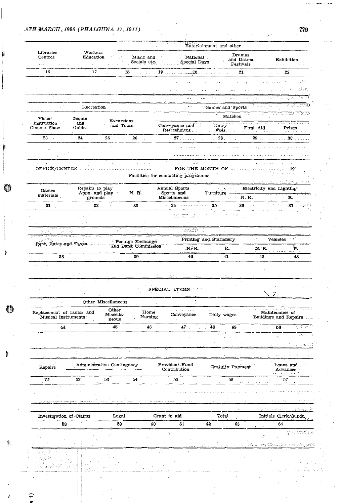0

¢

 $\circledcirc$ 

**Alla** 

 $\subset$ 

| $\mathcal{A} \rightarrow \mathcal{A}$            |                           |                                           |                                   | Entertainment and other                                                                                                                                                                                                                                                                                                                                                                                                        |                                                                                                                                                                                                                                                                                                                                                                                                                                                                                                                                                                      |                                                                                                                                                                                                                                                                                                                                                                                                                                                          |                                                                                                                                                                                                                                     |
|--------------------------------------------------|---------------------------|-------------------------------------------|-----------------------------------|--------------------------------------------------------------------------------------------------------------------------------------------------------------------------------------------------------------------------------------------------------------------------------------------------------------------------------------------------------------------------------------------------------------------------------|----------------------------------------------------------------------------------------------------------------------------------------------------------------------------------------------------------------------------------------------------------------------------------------------------------------------------------------------------------------------------------------------------------------------------------------------------------------------------------------------------------------------------------------------------------------------|----------------------------------------------------------------------------------------------------------------------------------------------------------------------------------------------------------------------------------------------------------------------------------------------------------------------------------------------------------------------------------------------------------------------------------------------------------|-------------------------------------------------------------------------------------------------------------------------------------------------------------------------------------------------------------------------------------|
| Libraries<br>Centres                             | Workers<br>Education      |                                           | Music and<br>Socials etc.         | National<br>Special Days                                                                                                                                                                                                                                                                                                                                                                                                       | $\sim$                                                                                                                                                                                                                                                                                                                                                                                                                                                                                                                                                               | Dramas<br>, and Drama<br>Festivals                                                                                                                                                                                                                                                                                                                                                                                                                       | Exhibition<br><b>Contractor</b>                                                                                                                                                                                                     |
| 16                                               | 17                        |                                           | 18.<br>and a state                | $19$ 20 20 21                                                                                                                                                                                                                                                                                                                                                                                                                  |                                                                                                                                                                                                                                                                                                                                                                                                                                                                                                                                                                      |                                                                                                                                                                                                                                                                                                                                                                                                                                                          | $\sim$ 22 and $\sim$                                                                                                                                                                                                                |
|                                                  |                           |                                           |                                   | i vi                                                                                                                                                                                                                                                                                                                                                                                                                           |                                                                                                                                                                                                                                                                                                                                                                                                                                                                                                                                                                      |                                                                                                                                                                                                                                                                                                                                                                                                                                                          | vrstedi sa Gordania                                                                                                                                                                                                                 |
|                                                  |                           |                                           |                                   |                                                                                                                                                                                                                                                                                                                                                                                                                                | $\sim$                                                                                                                                                                                                                                                                                                                                                                                                                                                                                                                                                               | <b>Address</b>                                                                                                                                                                                                                                                                                                                                                                                                                                           | ma sa sun wakati wa                                                                                                                                                                                                                 |
|                                                  |                           |                                           |                                   | $\cdots$                                                                                                                                                                                                                                                                                                                                                                                                                       | $\mathcal{F}_{\text{max}}$ and $\mathcal{F}_{\text{max}}$<br>$\overline{a}$                                                                                                                                                                                                                                                                                                                                                                                                                                                                                          |                                                                                                                                                                                                                                                                                                                                                                                                                                                          | - Nikai (Anglick anglick al-Anglick angl                                                                                                                                                                                            |
|                                                  | Recreation                |                                           |                                   | $\mathbf{z} \sim \mathbf{z}$ .                                                                                                                                                                                                                                                                                                                                                                                                 |                                                                                                                                                                                                                                                                                                                                                                                                                                                                                                                                                                      |                                                                                                                                                                                                                                                                                                                                                                                                                                                          | <b>Games' and 'Sports'</b> and the second the second of the second of the second of the second of the second second second second second second second second second second second second second second second second second second |
| Visua!                                           |                           |                                           |                                   |                                                                                                                                                                                                                                                                                                                                                                                                                                |                                                                                                                                                                                                                                                                                                                                                                                                                                                                                                                                                                      | $\sim$ and $\sim$<br>Matches                                                                                                                                                                                                                                                                                                                                                                                                                             | <u>ಸನ ಕಾಮವ ಪಡಿಸು</u>                                                                                                                                                                                                                |
| Instruction<br>Cinema Show                       | Scouts<br>and<br>Guides   | Excursions<br>and Tours                   |                                   | Conveyance and Entry<br>Refreshment                                                                                                                                                                                                                                                                                                                                                                                            |                                                                                                                                                                                                                                                                                                                                                                                                                                                                                                                                                                      | december 1999 and the contract of                                                                                                                                                                                                                                                                                                                                                                                                                        | First Aid Prizes<br>an an Timor a                                                                                                                                                                                                   |
| $23 - 1$                                         | 24                        | 25                                        | 26                                |                                                                                                                                                                                                                                                                                                                                                                                                                                | $\sim$ 100 $\pm$ 28 $\pm$ 100 $\pm$ 100 $\pm$                                                                                                                                                                                                                                                                                                                                                                                                                                                                                                                        |                                                                                                                                                                                                                                                                                                                                                                                                                                                          |                                                                                                                                                                                                                                     |
|                                                  |                           |                                           |                                   |                                                                                                                                                                                                                                                                                                                                                                                                                                |                                                                                                                                                                                                                                                                                                                                                                                                                                                                                                                                                                      | <b>Collection</b>                                                                                                                                                                                                                                                                                                                                                                                                                                        | in a complete the complete state of the second state of the second state of the second state of the second state of the second state of the second state of the second state of the second state of the second state of the se      |
|                                                  |                           |                                           |                                   |                                                                                                                                                                                                                                                                                                                                                                                                                                |                                                                                                                                                                                                                                                                                                                                                                                                                                                                                                                                                                      |                                                                                                                                                                                                                                                                                                                                                                                                                                                          |                                                                                                                                                                                                                                     |
|                                                  | <b>College</b>            |                                           | strategies and the company of the | المناصر وتركي وورود المحجور وواردت مجاهدتين                                                                                                                                                                                                                                                                                                                                                                                    |                                                                                                                                                                                                                                                                                                                                                                                                                                                                                                                                                                      |                                                                                                                                                                                                                                                                                                                                                                                                                                                          | space of the control of the control of the                                                                                                                                                                                          |
|                                                  |                           |                                           |                                   |                                                                                                                                                                                                                                                                                                                                                                                                                                |                                                                                                                                                                                                                                                                                                                                                                                                                                                                                                                                                                      | $\label{eq:2.1} \mathcal{L}(\mathcal{L}^{\mathcal{A}}(\mathcal{L}^{\mathcal{A}}(\mathcal{L}^{\mathcal{A}}(\mathcal{L}^{\mathcal{A}}(\mathcal{L}^{\mathcal{A}}(\mathcal{L}^{\mathcal{A}}(\mathcal{L}^{\mathcal{A}}(\mathcal{L}^{\mathcal{A}}(\mathcal{L}^{\mathcal{A}}(\mathcal{L}^{\mathcal{A}}(\mathcal{L}^{\mathcal{A}}(\mathcal{L}^{\mathcal{A}}(\mathcal{L}^{\mathcal{A}}(\mathcal{L}^{\mathcal{A}}(\mathcal{L}^{\mathcal{A}}(\mathcal{L}^{\mathcal$ | an Station Chair                                                                                                                                                                                                                    |
|                                                  |                           |                                           |                                   | Facilities for conducting programme                                                                                                                                                                                                                                                                                                                                                                                            |                                                                                                                                                                                                                                                                                                                                                                                                                                                                                                                                                                      |                                                                                                                                                                                                                                                                                                                                                                                                                                                          | some plants of the property states                                                                                                                                                                                                  |
| Games                                            | Repairs to play           |                                           |                                   | Annual Sports                                                                                                                                                                                                                                                                                                                                                                                                                  |                                                                                                                                                                                                                                                                                                                                                                                                                                                                                                                                                                      |                                                                                                                                                                                                                                                                                                                                                                                                                                                          | Electricity and Lighting<br>Furniture                                                                                                                                                                                               |
| materials                                        | Appn. and play<br>grounds |                                           | N. R.                             | Sports and<br>Miscellaneous                                                                                                                                                                                                                                                                                                                                                                                                    |                                                                                                                                                                                                                                                                                                                                                                                                                                                                                                                                                                      | N. R.                                                                                                                                                                                                                                                                                                                                                                                                                                                    | R.                                                                                                                                                                                                                                  |
| 31,                                              | 32                        |                                           | 33                                |                                                                                                                                                                                                                                                                                                                                                                                                                                |                                                                                                                                                                                                                                                                                                                                                                                                                                                                                                                                                                      |                                                                                                                                                                                                                                                                                                                                                                                                                                                          |                                                                                                                                                                                                                                     |
|                                                  |                           |                                           |                                   | $\sum_{\mathbf{r} \in \mathcal{P}} \sum_{\mathbf{r} \in \mathcal{P}} \frac{\mathbf{r}^{\mathbf{r}} \mathbf{r}^{\mathbf{r}} \mathbf{r}^{\mathbf{r}}}{\mathbf{r}^{\mathbf{r}} \mathbf{r}^{\mathbf{r}} \mathbf{r}^{\mathbf{r}} \mathbf{r}^{\mathbf{r}} \mathbf{r}^{\mathbf{r}} \mathbf{r}^{\mathbf{r}} \mathbf{r}^{\mathbf{r}} \mathbf{r}^{\mathbf{r}} \mathbf{r}^{\mathbf{r}} \mathbf{r}^{\mathbf{r}} \mathbf{r}^{\mathbf{r}} \$ | $\frac{1}{2} \frac{1}{2} \frac{1}{2} \frac{1}{2} \frac{1}{2} \frac{1}{2} \frac{1}{2}$                                                                                                                                                                                                                                                                                                                                                                                                                                                                                |                                                                                                                                                                                                                                                                                                                                                                                                                                                          |                                                                                                                                                                                                                                     |
|                                                  |                           |                                           |                                   |                                                                                                                                                                                                                                                                                                                                                                                                                                |                                                                                                                                                                                                                                                                                                                                                                                                                                                                                                                                                                      |                                                                                                                                                                                                                                                                                                                                                                                                                                                          |                                                                                                                                                                                                                                     |
|                                                  |                           | 18.000                                    |                                   |                                                                                                                                                                                                                                                                                                                                                                                                                                | $\label{eq:2.1} \frac{\partial \mathcal{L}_1}{\partial \mathcal{L}_2} = \frac{\partial \mathcal{L}_2}{\partial \mathcal{L}_1} = \frac{\partial \mathcal{L}_2}{\partial \mathcal{L}_2} = \frac{\partial \mathcal{L}_1}{\partial \mathcal{L}_2} = \frac{\partial \mathcal{L}_2}{\partial \mathcal{L}_1} = \frac{\partial \mathcal{L}_2}{\partial \mathcal{L}_2} = \frac{\partial \mathcal{L}_1}{\partial \mathcal{L}_2} = \frac{\partial \mathcal{L}_2}{\partial \mathcal{L}_2} = \frac{\partial \mathcal{L}_1}{\partial \mathcal{L}_1} = \frac{\partial$<br>nja se ta |                                                                                                                                                                                                                                                                                                                                                                                                                                                          | 大大的一部分                                                                                                                                                                                                                              |
|                                                  |                           |                                           |                                   |                                                                                                                                                                                                                                                                                                                                                                                                                                |                                                                                                                                                                                                                                                                                                                                                                                                                                                                                                                                                                      |                                                                                                                                                                                                                                                                                                                                                                                                                                                          |                                                                                                                                                                                                                                     |
| Rent, Rates and Taxes                            |                           |                                           | Postage Exchange                  |                                                                                                                                                                                                                                                                                                                                                                                                                                | Printing and Stationery                                                                                                                                                                                                                                                                                                                                                                                                                                                                                                                                              |                                                                                                                                                                                                                                                                                                                                                                                                                                                          | <b>Example Vehicles</b>                                                                                                                                                                                                             |
|                                                  |                           |                                           | and Bank Commission               | N.R.<br>Selections of the country                                                                                                                                                                                                                                                                                                                                                                                              | R.                                                                                                                                                                                                                                                                                                                                                                                                                                                                                                                                                                   | N. R.                                                                                                                                                                                                                                                                                                                                                                                                                                                    | $R_{\text{max}}$                                                                                                                                                                                                                    |
| 38                                               | $\sim 10^{-1}$            |                                           | 39                                | 40                                                                                                                                                                                                                                                                                                                                                                                                                             | 41                                                                                                                                                                                                                                                                                                                                                                                                                                                                                                                                                                   | 42                                                                                                                                                                                                                                                                                                                                                                                                                                                       | 43                                                                                                                                                                                                                                  |
|                                                  |                           |                                           |                                   | SPECIAL ITEMS                                                                                                                                                                                                                                                                                                                                                                                                                  |                                                                                                                                                                                                                                                                                                                                                                                                                                                                                                                                                                      |                                                                                                                                                                                                                                                                                                                                                                                                                                                          |                                                                                                                                                                                                                                     |
|                                                  |                           |                                           |                                   |                                                                                                                                                                                                                                                                                                                                                                                                                                |                                                                                                                                                                                                                                                                                                                                                                                                                                                                                                                                                                      |                                                                                                                                                                                                                                                                                                                                                                                                                                                          |                                                                                                                                                                                                                                     |
| Replacement of radios and<br>Musical instruments |                           | Other Miscellaneous<br>Other<br>Miscella- | Home<br>Nursing                   | Conveyance                                                                                                                                                                                                                                                                                                                                                                                                                     | Daily wages                                                                                                                                                                                                                                                                                                                                                                                                                                                                                                                                                          |                                                                                                                                                                                                                                                                                                                                                                                                                                                          | Maintenance of                                                                                                                                                                                                                      |
| 44                                               |                           | neous<br>45                               | $46-$                             | $\cdots$<br>$47 -$                                                                                                                                                                                                                                                                                                                                                                                                             | 48                                                                                                                                                                                                                                                                                                                                                                                                                                                                                                                                                                   | 49                                                                                                                                                                                                                                                                                                                                                                                                                                                       | $\sim 50$                                                                                                                                                                                                                           |
|                                                  |                           |                                           |                                   |                                                                                                                                                                                                                                                                                                                                                                                                                                |                                                                                                                                                                                                                                                                                                                                                                                                                                                                                                                                                                      |                                                                                                                                                                                                                                                                                                                                                                                                                                                          |                                                                                                                                                                                                                                     |
|                                                  |                           |                                           |                                   |                                                                                                                                                                                                                                                                                                                                                                                                                                |                                                                                                                                                                                                                                                                                                                                                                                                                                                                                                                                                                      |                                                                                                                                                                                                                                                                                                                                                                                                                                                          | الاستعار الإحراج                                                                                                                                                                                                                    |
|                                                  |                           |                                           |                                   |                                                                                                                                                                                                                                                                                                                                                                                                                                |                                                                                                                                                                                                                                                                                                                                                                                                                                                                                                                                                                      |                                                                                                                                                                                                                                                                                                                                                                                                                                                          |                                                                                                                                                                                                                                     |
|                                                  |                           |                                           |                                   |                                                                                                                                                                                                                                                                                                                                                                                                                                |                                                                                                                                                                                                                                                                                                                                                                                                                                                                                                                                                                      |                                                                                                                                                                                                                                                                                                                                                                                                                                                          |                                                                                                                                                                                                                                     |
| Repairs                                          |                           | Administrative Contingency                |                                   | Provident Fund<br>Contribution                                                                                                                                                                                                                                                                                                                                                                                                 | Gratuity Payment                                                                                                                                                                                                                                                                                                                                                                                                                                                                                                                                                     |                                                                                                                                                                                                                                                                                                                                                                                                                                                          | Loans and<br>Advances<br>والمتحدث والمحافين والمحافظ                                                                                                                                                                                |
| 51                                               | 52                        | 53                                        | 54                                | 55                                                                                                                                                                                                                                                                                                                                                                                                                             |                                                                                                                                                                                                                                                                                                                                                                                                                                                                                                                                                                      | $56$ .                                                                                                                                                                                                                                                                                                                                                                                                                                                   | 57                                                                                                                                                                                                                                  |
|                                                  |                           |                                           |                                   |                                                                                                                                                                                                                                                                                                                                                                                                                                |                                                                                                                                                                                                                                                                                                                                                                                                                                                                                                                                                                      |                                                                                                                                                                                                                                                                                                                                                                                                                                                          |                                                                                                                                                                                                                                     |
|                                                  |                           |                                           |                                   |                                                                                                                                                                                                                                                                                                                                                                                                                                |                                                                                                                                                                                                                                                                                                                                                                                                                                                                                                                                                                      |                                                                                                                                                                                                                                                                                                                                                                                                                                                          |                                                                                                                                                                                                                                     |
|                                                  |                           |                                           |                                   |                                                                                                                                                                                                                                                                                                                                                                                                                                |                                                                                                                                                                                                                                                                                                                                                                                                                                                                                                                                                                      |                                                                                                                                                                                                                                                                                                                                                                                                                                                          |                                                                                                                                                                                                                                     |
| Investigation of Claims                          |                           | Legal                                     |                                   | Grant in aid                                                                                                                                                                                                                                                                                                                                                                                                                   | Total                                                                                                                                                                                                                                                                                                                                                                                                                                                                                                                                                                |                                                                                                                                                                                                                                                                                                                                                                                                                                                          |                                                                                                                                                                                                                                     |
| 58                                               |                           | 59                                        | 60                                | 61                                                                                                                                                                                                                                                                                                                                                                                                                             | 62                                                                                                                                                                                                                                                                                                                                                                                                                                                                                                                                                                   | 63                                                                                                                                                                                                                                                                                                                                                                                                                                                       | Buildings and Repairs<br>스는 미는 할 때의<br>Initials Clerk/Supdt.<br>64                                                                                                                                                                  |
|                                                  |                           |                                           |                                   |                                                                                                                                                                                                                                                                                                                                                                                                                                |                                                                                                                                                                                                                                                                                                                                                                                                                                                                                                                                                                      |                                                                                                                                                                                                                                                                                                                                                                                                                                                          | windown with A<br>stru endinasjan sviancija                                                                                                                                                                                         |

779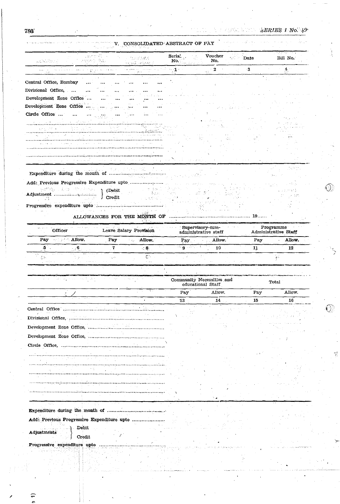$\hat{\mathbb{O}}$ 

 $\overline{\mathbb{Q}}$ 

| V. CONSOLIDATED ABSTRACT OF PAY |  |  |
|---------------------------------|--|--|
|                                 |  |  |

| zavre i Sull<br>ala Kalència                                                       | , aventor (Ric | 化比比热试验<br><b>以此的过去式</b>                    | Seria.<br>No.                                                    | Voucher<br>No.                                                                      | Date                   | <u>पराजना जन्म</u><br>Bill No.    |
|------------------------------------------------------------------------------------|----------------|--------------------------------------------|------------------------------------------------------------------|-------------------------------------------------------------------------------------|------------------------|-----------------------------------|
|                                                                                    |                |                                            | $\sim 1$ and $\sim$                                              | $\begin{array}{c} \begin{array}{c} \text{ } \\ \text{ } \\ \end{array} \end{array}$ | $\cdot$ 3              | 4. ∵                              |
| Central Office, Bombay<br>$\ddotsc$                                                |                |                                            |                                                                  |                                                                                     |                        |                                   |
| Divisional Office,                                                                 |                |                                            |                                                                  |                                                                                     |                        |                                   |
| Development Zone Office                                                            |                |                                            |                                                                  |                                                                                     |                        |                                   |
| Development Zone Office                                                            |                |                                            |                                                                  |                                                                                     |                        |                                   |
| Circle Office                                                                      |                |                                            |                                                                  |                                                                                     |                        |                                   |
| the companies of the companies of                                                  |                | 박기                                         |                                                                  |                                                                                     |                        |                                   |
|                                                                                    |                |                                            |                                                                  |                                                                                     |                        |                                   |
|                                                                                    |                |                                            |                                                                  |                                                                                     |                        |                                   |
|                                                                                    |                |                                            |                                                                  |                                                                                     |                        |                                   |
|                                                                                    |                | <br>a program and the program and a market |                                                                  |                                                                                     |                        |                                   |
|                                                                                    |                |                                            |                                                                  |                                                                                     |                        |                                   |
|                                                                                    |                |                                            |                                                                  |                                                                                     |                        |                                   |
| Add: Previous Progressive Expenditure upto                                         |                |                                            |                                                                  |                                                                                     |                        |                                   |
| edito canonich en est                                                              | (Debit)        | $\gamma=9-3.35$<br>in Deemond              |                                                                  |                                                                                     |                        |                                   |
| <b>Contract Contract</b><br>W.                                                     | J Credit       |                                            |                                                                  |                                                                                     |                        |                                   |
|                                                                                    |                |                                            |                                                                  |                                                                                     |                        |                                   |
|                                                                                    |                |                                            |                                                                  |                                                                                     |                        |                                   |
| Officer                                                                            |                | Leave Salary Provision                     | Supervisory-cum-<br>administrative staff                         |                                                                                     |                        | Programme<br>Administrative Staff |
| Pay Manager Allow.                                                                 | Pay            | Allow.<br>Page 1                           | Pay                                                              | Allow.                                                                              | Pay                    | Allow.                            |
| $\overline{\mathbf{5}}$ .<br>$\sim 6$ .                                            | $7^{\circ}$    |                                            |                                                                  |                                                                                     |                        |                                   |
|                                                                                    |                | $<\mathbf{8}_{\odot}$                      | $\frac{1}{9}$ , $\overline{0}$ , $\overline{0}$ , $\overline{0}$ | 10                                                                                  | 11                     | 12                                |
| 84.                                                                                | -130           | $\mathbb{C}^n$<br>o la c                   |                                                                  |                                                                                     |                        | $\mathcal{L}_{\mathcal{S}^*}$     |
| $\varphi$ , so the                                                                 |                |                                            |                                                                  |                                                                                     |                        |                                   |
| المتحالة والموالية أهيا<br>しゃかんしかん                                                 |                |                                            | Community Necessities and                                        |                                                                                     |                        | <b>Total</b>                      |
|                                                                                    |                |                                            | educational Staff                                                |                                                                                     |                        |                                   |
|                                                                                    |                |                                            | Pay<br>23                                                        | Allow.<br>14                                                                        | Pay<br>15 <sub>1</sub> | Allow.<br>16                      |
|                                                                                    |                |                                            |                                                                  |                                                                                     |                        |                                   |
|                                                                                    |                |                                            |                                                                  |                                                                                     |                        |                                   |
|                                                                                    |                |                                            |                                                                  |                                                                                     |                        |                                   |
|                                                                                    |                |                                            |                                                                  |                                                                                     |                        |                                   |
|                                                                                    |                |                                            |                                                                  |                                                                                     |                        |                                   |
|                                                                                    |                |                                            |                                                                  |                                                                                     |                        |                                   |
|                                                                                    |                |                                            |                                                                  |                                                                                     |                        |                                   |
|                                                                                    |                |                                            |                                                                  |                                                                                     |                        |                                   |
|                                                                                    |                |                                            |                                                                  |                                                                                     |                        |                                   |
|                                                                                    |                |                                            |                                                                  |                                                                                     |                        |                                   |
| Central Office<br>Divisional Office,<br>Development Zone Office,<br>Circle Office, |                |                                            |                                                                  |                                                                                     |                        |                                   |
|                                                                                    |                |                                            |                                                                  |                                                                                     |                        |                                   |
|                                                                                    |                |                                            |                                                                  |                                                                                     |                        |                                   |
| Add: Previous Progressive Expenditure upto.                                        |                |                                            |                                                                  |                                                                                     |                        |                                   |
| Debit                                                                              |                |                                            |                                                                  |                                                                                     |                        |                                   |
| Adjustments<br>Credit                                                              |                |                                            |                                                                  |                                                                                     |                        |                                   |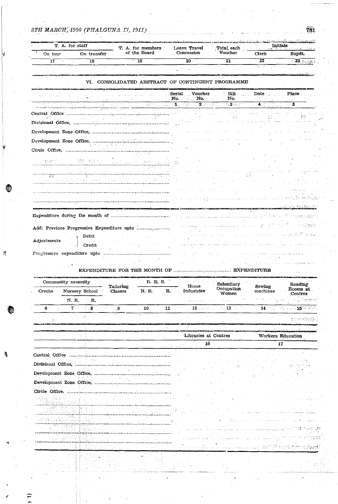₩

 $\tilde{\mathcal{H}}$ 

觱

 $\widehat{\mathcal{L}}$ 

| On tour                       | On transfer                                                                                   |                      | T. A. for members<br>of the Board           | Leave Travel<br>Concession                    | Total, each<br>Voucher    | Clerk                                         | Supdt.                                               |
|-------------------------------|-----------------------------------------------------------------------------------------------|----------------------|---------------------------------------------|-----------------------------------------------|---------------------------|-----------------------------------------------|------------------------------------------------------|
| 17                            | $\overline{18}$                                                                               |                      | 19                                          | 20 <sup>2</sup>                               | $\overline{21}$           | $\overline{22}$                               | ం 23. బంధ                                            |
|                               |                                                                                               | $\sim$ $\sim$        |                                             |                                               |                           | ನಾಂಬ್<br>$\mathbf{r}$                         |                                                      |
|                               | VI.                                                                                           |                      |                                             | CONSOLIDATED ABSTRACT OF CONTINGENT PROGRAMME |                           |                                               |                                                      |
|                               |                                                                                               |                      |                                             |                                               |                           |                                               |                                                      |
|                               |                                                                                               |                      |                                             | Voucher<br>Serial<br>No.<br>No.               | . Bill<br>No.             | Date and                                      | Place                                                |
|                               |                                                                                               |                      | $\mathcal{O}(N^2)$<br>الأعلمان بالرا        | $\mathbf{1}$<br><u> Santa - 2 Intern</u>      | <b>Base</b> State         | 4∶                                            | 5                                                    |
| Central Office                |                                                                                               |                      | Yangi sana masa nyaéta salah sahiji salah s |                                               |                           |                                               |                                                      |
|                               | Divisional Office,                                                                            |                      |                                             |                                               |                           |                                               |                                                      |
|                               | Development Zone Office,<br>Development Zone Office,                                          |                      |                                             |                                               |                           |                                               |                                                      |
|                               |                                                                                               |                      |                                             |                                               |                           |                                               |                                                      |
|                               | Circle Office,                                                                                |                      |                                             |                                               |                           |                                               |                                                      |
|                               | SiA annie                                                                                     |                      |                                             |                                               |                           |                                               |                                                      |
|                               |                                                                                               |                      |                                             |                                               |                           |                                               |                                                      |
|                               |                                                                                               |                      |                                             |                                               |                           |                                               |                                                      |
|                               |                                                                                               |                      |                                             |                                               |                           |                                               |                                                      |
|                               |                                                                                               |                      |                                             |                                               |                           |                                               |                                                      |
|                               |                                                                                               |                      |                                             |                                               |                           |                                               |                                                      |
|                               |                                                                                               |                      |                                             |                                               |                           |                                               |                                                      |
|                               | Add: Previous Progressive Expenditure upto<br>Debit<br>Credit<br>Progressive expenditure upto |                      |                                             |                                               |                           |                                               |                                                      |
|                               | Community necessity                                                                           |                      | EXPENDITURE FOR THE MONTH OF<br>R. E. S.    |                                               | Subsidiary                | . EXPENDITURE                                 | Reading                                              |
| Creche                        | Nursery School                                                                                | Tailoring<br>Classes | N.R.                                        | Home<br>Industries<br>R.                      | Occupation<br>Women       | Sewing<br>machines                            | Centres                                              |
|                               | N. R.<br>R.                                                                                   |                      |                                             |                                               |                           |                                               |                                                      |
| 6                             | 7<br>an pa<br>8                                                                               | $9^{\circ}$          | 10                                          | 11<br>$\sim$ 12 $\dots$                       | $\sim$ 13 $\sim$<br>7. SS | $14 -$                                        |                                                      |
| ž.                            |                                                                                               |                      |                                             |                                               |                           |                                               | neversit                                             |
|                               |                                                                                               |                      |                                             |                                               |                           |                                               |                                                      |
|                               |                                                                                               |                      |                                             | Libraries at Centres                          |                           |                                               | Workers Education                                    |
|                               |                                                                                               |                      |                                             | 16                                            |                           |                                               | 17                                                   |
|                               | 52,43                                                                                         |                      |                                             |                                               |                           |                                               |                                                      |
|                               |                                                                                               |                      |                                             |                                               |                           |                                               |                                                      |
|                               |                                                                                               |                      |                                             |                                               |                           |                                               |                                                      |
|                               | Development Zone Office,                                                                      |                      |                                             |                                               |                           |                                               |                                                      |
|                               |                                                                                               |                      |                                             |                                               |                           |                                               |                                                      |
| nefamatko konkuzio (a. k.a.   |                                                                                               |                      |                                             |                                               |                           |                                               |                                                      |
|                               | 18 ster<br>lan is r                                                                           |                      |                                             |                                               |                           |                                               |                                                      |
|                               |                                                                                               |                      |                                             |                                               |                           |                                               |                                                      |
| Adjustments<br>Central Office |                                                                                               |                      |                                             |                                               |                           | وعاوله والمحافظ والمتابعة والمتارين والمتارين |                                                      |
|                               |                                                                                               |                      |                                             |                                               |                           |                                               | Rooms at<br>is or glibbord of<br>$\approx 115\%$ and |

781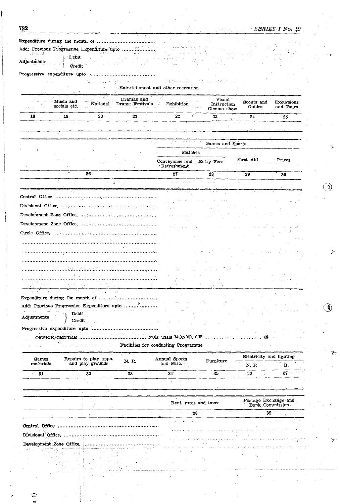SERIES 1 No. 49

Í)

 $\textcircled{\AA}$ 

| (Sherri). |  |
|-----------|--|
| ↑ Debit   |  |

Adjustments Credit Ţ

at the same of the same of the same of the

. . . . . . . .

|                    | Music and<br>socials etc.                  | National                                  | Dramas and<br>Drama Festivals | Exhibition                          | Visual<br>Instruction<br>Cinema show | Scouts and<br>Guides       | <b>Excursions</b><br>and Tours |
|--------------------|--------------------------------------------|-------------------------------------------|-------------------------------|-------------------------------------|--------------------------------------|----------------------------|--------------------------------|
| 18                 | 19                                         | $20 -$                                    | 21                            | 22                                  | 23                                   | 24                         | 25                             |
|                    |                                            |                                           |                               |                                     |                                      |                            |                                |
|                    |                                            |                                           |                               |                                     |                                      |                            |                                |
|                    |                                            |                                           |                               |                                     | Games and Sports                     |                            |                                |
|                    |                                            |                                           |                               | Matches                             |                                      |                            |                                |
|                    |                                            |                                           |                               | Conveyance and<br>Refreshment       | Entry Fees                           | First Aid                  | Prizes                         |
|                    |                                            | 26                                        |                               | 27                                  | 28                                   | 29                         | 30                             |
|                    |                                            | ٥                                         |                               |                                     |                                      |                            |                                |
|                    |                                            |                                           |                               |                                     |                                      |                            |                                |
|                    |                                            |                                           |                               |                                     |                                      |                            |                                |
|                    |                                            |                                           |                               |                                     |                                      |                            |                                |
|                    |                                            |                                           |                               |                                     |                                      |                            |                                |
|                    |                                            |                                           |                               |                                     |                                      |                            |                                |
|                    |                                            |                                           |                               |                                     |                                      |                            |                                |
|                    |                                            |                                           |                               |                                     |                                      |                            |                                |
|                    |                                            |                                           |                               |                                     |                                      |                            |                                |
|                    |                                            |                                           |                               |                                     |                                      |                            |                                |
|                    |                                            |                                           |                               |                                     |                                      |                            |                                |
|                    |                                            |                                           |                               |                                     |                                      |                            |                                |
| ia C               |                                            |                                           |                               |                                     |                                      |                            |                                |
| 医头部 小球体            |                                            |                                           |                               |                                     |                                      |                            |                                |
|                    | Add: Previous Progressive Expenditure upto |                                           |                               |                                     |                                      |                            |                                |
|                    | Debit                                      |                                           |                               |                                     |                                      |                            |                                |
| Adjustments        | Credit                                     |                                           |                               |                                     |                                      |                            |                                |
|                    | Progressive expenditure upto               |                                           |                               |                                     |                                      |                            |                                |
|                    | OFFICE/CENTRE                              |                                           |                               | FOR THE MONTH OF                    |                                      |                            |                                |
|                    |                                            |                                           |                               | Facilities for conducting Programme |                                      |                            |                                |
|                    |                                            |                                           |                               |                                     |                                      |                            | Electricity and lighting       |
| Games<br>materials |                                            | Repairs to play appn.<br>and play grounds | N. R.                         | Annual Sports<br>and Misc.          | Furniture                            | $\mathbf{N.}$ $\mathbf{R}$ | R.                             |
|                    |                                            | 32                                        | 33                            | 34                                  | 35                                   | 36                         | 37                             |
| 31<br>N.           |                                            |                                           |                               |                                     |                                      |                            |                                |

|  | Rent, rates and taxes                                                                                                                                                                                                                                                                                                                                                                                                                                            | Postage Exchange and<br>Bank Commission |
|--|------------------------------------------------------------------------------------------------------------------------------------------------------------------------------------------------------------------------------------------------------------------------------------------------------------------------------------------------------------------------------------------------------------------------------------------------------------------|-----------------------------------------|
|  | The contract of the contract of the<br>the company of the company                                                                                                                                                                                                                                                                                                                                                                                                |                                         |
|  | the parameter of the control of the second control of the second control of the control of the control of the control of the control of the control of the control of the control of the control of the control of the control                                                                                                                                                                                                                                   | <b>Contract Advised Service</b>         |
|  | خەلىكە خەمەم خاڭخىم مەمەم مەممەم خەم داخلا مەم «دەم» دەم دەخلىق» دەپ ئايدىن دەم ئاخىر دەم بايدىن يېتىر يېتى يېتى                                                                                                                                                                                                                                                                                                                                                 |                                         |
|  | and the construction of the construction of the construction of the construction of the construction of the construction of the construction of the construction of the construction of the construction of the construction o<br>www.com/http://www.com/http://www.com/state.go.two-www.com/numerical.com/numerical/com/numerical/com/numerical/com/numerical/com/numerical/com/numerical/com/numerical/com/numerical/com/numerical/com/numerical/com/numerical |                                         |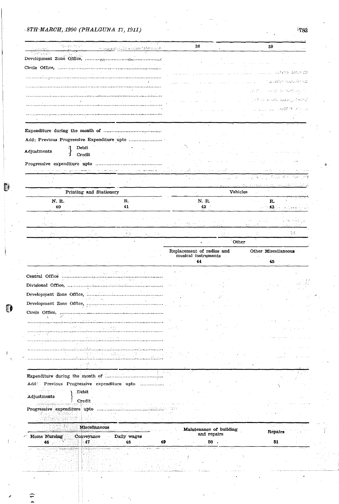O

⋍

| ige gigt sig af<br>sude o est.<br>Sumpying                                                                                                           | المصطبع فيدرجه فيصر خكاري فيعرضهم  | 38                        | 39                                                                                                                                                                                                                                                    |
|------------------------------------------------------------------------------------------------------------------------------------------------------|------------------------------------|---------------------------|-------------------------------------------------------------------------------------------------------------------------------------------------------------------------------------------------------------------------------------------------------|
|                                                                                                                                                      |                                    |                           |                                                                                                                                                                                                                                                       |
| Circle Office,                                                                                                                                       |                                    |                           |                                                                                                                                                                                                                                                       |
|                                                                                                                                                      |                                    |                           | ASTRIC (MUCH)                                                                                                                                                                                                                                         |
|                                                                                                                                                      |                                    |                           | (人名钱斯利 法投机原因的权                                                                                                                                                                                                                                        |
|                                                                                                                                                      |                                    |                           | ye tr<br>sa shi ta nambaro                                                                                                                                                                                                                            |
|                                                                                                                                                      |                                    |                           | THINGS AND BRIDGE MARKET                                                                                                                                                                                                                              |
|                                                                                                                                                      |                                    |                           | C.C. SHART & Called A                                                                                                                                                                                                                                 |
|                                                                                                                                                      |                                    |                           |                                                                                                                                                                                                                                                       |
|                                                                                                                                                      |                                    |                           |                                                                                                                                                                                                                                                       |
| Add: Previous Progressive Expenditure upto                                                                                                           |                                    |                           |                                                                                                                                                                                                                                                       |
| Debit                                                                                                                                                |                                    |                           |                                                                                                                                                                                                                                                       |
| Adjustments<br>Credit                                                                                                                                |                                    |                           |                                                                                                                                                                                                                                                       |
| Progressive expenditure upto                                                                                                                         |                                    |                           |                                                                                                                                                                                                                                                       |
|                                                                                                                                                      |                                    |                           |                                                                                                                                                                                                                                                       |
|                                                                                                                                                      |                                    |                           | $\label{eq:3.1} \frac{1}{\sqrt{2}}\frac{1}{\sqrt{2}}\frac{1}{\sqrt{2}}\left(\frac{1}{\sqrt{2}}\left(\frac{1}{\sqrt{2}}\right)^2-\frac{1}{\sqrt{2}}\left(\frac{1}{\sqrt{2}}\right)^2-\frac{1}{\sqrt{2}}\left(\frac{1}{\sqrt{2}}\right)^2\right)$<br>v. |
|                                                                                                                                                      |                                    |                           | or kunntni sapersme Dall                                                                                                                                                                                                                              |
| Printing and Stationery                                                                                                                              |                                    |                           | <b>Vehicles</b>                                                                                                                                                                                                                                       |
| N. R.<br>40                                                                                                                                          | R.,<br>41                          | N. R.<br>42               | R.<br>$\sim 100$ $43$ km s $^{-1}$                                                                                                                                                                                                                    |
|                                                                                                                                                      |                                    |                           |                                                                                                                                                                                                                                                       |
| 94 P.<br><b>ALC</b>                                                                                                                                  |                                    | 体的に                       |                                                                                                                                                                                                                                                       |
|                                                                                                                                                      | 30<br>ţΣ.                          | inger k                   | 고표                                                                                                                                                                                                                                                    |
|                                                                                                                                                      |                                    | $\bullet$                 | Other                                                                                                                                                                                                                                                 |
|                                                                                                                                                      |                                    | Replacement of radios and | Other Miscellaneous                                                                                                                                                                                                                                   |
|                                                                                                                                                      |                                    | musical instruments       |                                                                                                                                                                                                                                                       |
|                                                                                                                                                      |                                    | 44                        | 45                                                                                                                                                                                                                                                    |
|                                                                                                                                                      |                                    |                           |                                                                                                                                                                                                                                                       |
| Office                                                                                                                                               | $\mathcal{N}$ .                    |                           |                                                                                                                                                                                                                                                       |
|                                                                                                                                                      |                                    |                           |                                                                                                                                                                                                                                                       |
|                                                                                                                                                      |                                    |                           |                                                                                                                                                                                                                                                       |
|                                                                                                                                                      |                                    |                           |                                                                                                                                                                                                                                                       |
|                                                                                                                                                      |                                    |                           |                                                                                                                                                                                                                                                       |
|                                                                                                                                                      |                                    |                           |                                                                                                                                                                                                                                                       |
| uw)                                                                                                                                                  |                                    |                           |                                                                                                                                                                                                                                                       |
| 山 兵 (中) 役                                                                                                                                            |                                    |                           |                                                                                                                                                                                                                                                       |
|                                                                                                                                                      |                                    |                           |                                                                                                                                                                                                                                                       |
|                                                                                                                                                      |                                    |                           |                                                                                                                                                                                                                                                       |
|                                                                                                                                                      |                                    |                           |                                                                                                                                                                                                                                                       |
|                                                                                                                                                      |                                    |                           |                                                                                                                                                                                                                                                       |
|                                                                                                                                                      |                                    |                           |                                                                                                                                                                                                                                                       |
|                                                                                                                                                      |                                    |                           |                                                                                                                                                                                                                                                       |
| Debit                                                                                                                                                |                                    |                           |                                                                                                                                                                                                                                                       |
| Credit                                                                                                                                               |                                    |                           |                                                                                                                                                                                                                                                       |
|                                                                                                                                                      |                                    |                           |                                                                                                                                                                                                                                                       |
|                                                                                                                                                      |                                    |                           |                                                                                                                                                                                                                                                       |
| 羊毛<br>Miscellaneous                                                                                                                                  | ar dan shirin yaw                  | Maintenance of building   | $\mathcal{L}^{\mathcal{L}}$                                                                                                                                                                                                                           |
| Conveyance                                                                                                                                           | Daily wages                        | and repairs               | Repairs                                                                                                                                                                                                                                               |
| Circle Office,<br>Add: Previous Progressive expenditure upto<br>Adjustments<br>Progressive expenditure upto<br>Home Nursing<br>47<br>46 <sub>1</sub> | 48                                 | $50$ .<br>49              | 51                                                                                                                                                                                                                                                    |
| . Jaar 2000 ee 1963 die Gebeure op het Kond                                                                                                          | مراجعا للتي المتمعانين والمتوافقين |                           |                                                                                                                                                                                                                                                       |
|                                                                                                                                                      |                                    |                           |                                                                                                                                                                                                                                                       |

 $-783$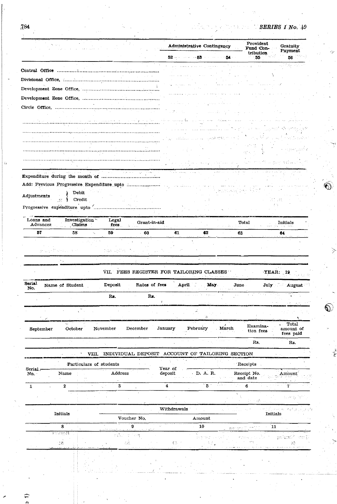$\mathbb O$ 

 $\bigcirc$ 

| $52$ and $53$ and $53$<br>56<br>54.<br>55<br>, 한 가수 - Par<br>us abant options.<br>Contact Contact<br>$\sim 100$<br><b>Contract Contract Contract</b><br>Add: Previous Progressive Expenditure upto<br>Debit<br>Adjustments<br>Credit<br>Progressive expenditure upto<br>.<br>Investigation<br>Loans and<br>Legal<br>Grant-in-aid<br>Total<br>. Initials<br>Advances<br><b>Claims</b><br>$f$ ees<br>and the common<br>57<br>58<br>59<br>$-60$<br>61<br>62<br>63.<br>64<br>an den Marns een st<br>loza u Kiro<br>Эş<br>VII. FEES REGISTER FOR TAILORING CLASSES<br><b>YEAR: 19</b><br>Serial<br><b>April</b><br>Deposit<br>Rates of fees<br>May.<br>Name of Student<br>June<br>July August<br>No.<br>Rs.<br>Rs.<br>οğ,<br>$\sim 1$<br>Total<br>$\ddot{\phantom{0}}$<br>Examina-<br>October<br>December<br>January<br>. March<br>November<br>February<br>amount of<br>September<br>tion fees<br>fees paid<br>Rs.<br>Rs.<br>INDIVIDUAL DEPOSIT ACCOUNT OF TAILORING SECTION<br>VIII.<br>$\lceil$ Receipts $\lceil$<br>Particulars of students<br>Year of<br>Serial:<br>D. A. R.<br>Receipt No.<br>$\rm Name$<br>Address<br>deposit<br>No.<br>Amount<br>and date<br>` 5 ∴<br>$6^{\circ}$<br>1172 m<br>gine i<br>3<br>$\overline{4}$<br>$\mathbf{2}$<br>1<br>ti Bott.<br>$df_{\rm max}$<br>Withdrawals<br><b>Initials</b><br>Initials<br>Voucher No.<br>Amount<br>$\mathbf{g}$<br>10<br>$\overline{\mathbf{8}}$<br>11<br>Line open<br>rabegu<br>difuncer<br>isan<br>วาระจะมี<br>45 전 7년<br>ΦŘ.<br>$\mathbb{C}$ , $\mathbb{C}$<br>83<br>138 |  | <b>Administrative Contingency</b> | Provident<br>Fund Con- | Gratuity<br>Payment |
|--------------------------------------------------------------------------------------------------------------------------------------------------------------------------------------------------------------------------------------------------------------------------------------------------------------------------------------------------------------------------------------------------------------------------------------------------------------------------------------------------------------------------------------------------------------------------------------------------------------------------------------------------------------------------------------------------------------------------------------------------------------------------------------------------------------------------------------------------------------------------------------------------------------------------------------------------------------------------------------------------------------------------------------------------------------------------------------------------------------------------------------------------------------------------------------------------------------------------------------------------------------------------------------------------------------------------------------------------------------------------------------------------------------------------------------------------------------------------------------------------------------------------------------|--|-----------------------------------|------------------------|---------------------|
|                                                                                                                                                                                                                                                                                                                                                                                                                                                                                                                                                                                                                                                                                                                                                                                                                                                                                                                                                                                                                                                                                                                                                                                                                                                                                                                                                                                                                                                                                                                                      |  |                                   | tribution              |                     |
|                                                                                                                                                                                                                                                                                                                                                                                                                                                                                                                                                                                                                                                                                                                                                                                                                                                                                                                                                                                                                                                                                                                                                                                                                                                                                                                                                                                                                                                                                                                                      |  |                                   |                        |                     |
|                                                                                                                                                                                                                                                                                                                                                                                                                                                                                                                                                                                                                                                                                                                                                                                                                                                                                                                                                                                                                                                                                                                                                                                                                                                                                                                                                                                                                                                                                                                                      |  |                                   |                        |                     |
|                                                                                                                                                                                                                                                                                                                                                                                                                                                                                                                                                                                                                                                                                                                                                                                                                                                                                                                                                                                                                                                                                                                                                                                                                                                                                                                                                                                                                                                                                                                                      |  |                                   |                        |                     |
|                                                                                                                                                                                                                                                                                                                                                                                                                                                                                                                                                                                                                                                                                                                                                                                                                                                                                                                                                                                                                                                                                                                                                                                                                                                                                                                                                                                                                                                                                                                                      |  |                                   |                        |                     |
|                                                                                                                                                                                                                                                                                                                                                                                                                                                                                                                                                                                                                                                                                                                                                                                                                                                                                                                                                                                                                                                                                                                                                                                                                                                                                                                                                                                                                                                                                                                                      |  |                                   |                        |                     |
|                                                                                                                                                                                                                                                                                                                                                                                                                                                                                                                                                                                                                                                                                                                                                                                                                                                                                                                                                                                                                                                                                                                                                                                                                                                                                                                                                                                                                                                                                                                                      |  |                                   |                        |                     |
|                                                                                                                                                                                                                                                                                                                                                                                                                                                                                                                                                                                                                                                                                                                                                                                                                                                                                                                                                                                                                                                                                                                                                                                                                                                                                                                                                                                                                                                                                                                                      |  |                                   |                        |                     |
|                                                                                                                                                                                                                                                                                                                                                                                                                                                                                                                                                                                                                                                                                                                                                                                                                                                                                                                                                                                                                                                                                                                                                                                                                                                                                                                                                                                                                                                                                                                                      |  |                                   |                        |                     |
|                                                                                                                                                                                                                                                                                                                                                                                                                                                                                                                                                                                                                                                                                                                                                                                                                                                                                                                                                                                                                                                                                                                                                                                                                                                                                                                                                                                                                                                                                                                                      |  |                                   |                        |                     |
|                                                                                                                                                                                                                                                                                                                                                                                                                                                                                                                                                                                                                                                                                                                                                                                                                                                                                                                                                                                                                                                                                                                                                                                                                                                                                                                                                                                                                                                                                                                                      |  |                                   |                        |                     |
|                                                                                                                                                                                                                                                                                                                                                                                                                                                                                                                                                                                                                                                                                                                                                                                                                                                                                                                                                                                                                                                                                                                                                                                                                                                                                                                                                                                                                                                                                                                                      |  |                                   |                        |                     |
|                                                                                                                                                                                                                                                                                                                                                                                                                                                                                                                                                                                                                                                                                                                                                                                                                                                                                                                                                                                                                                                                                                                                                                                                                                                                                                                                                                                                                                                                                                                                      |  |                                   |                        |                     |
|                                                                                                                                                                                                                                                                                                                                                                                                                                                                                                                                                                                                                                                                                                                                                                                                                                                                                                                                                                                                                                                                                                                                                                                                                                                                                                                                                                                                                                                                                                                                      |  |                                   |                        |                     |
|                                                                                                                                                                                                                                                                                                                                                                                                                                                                                                                                                                                                                                                                                                                                                                                                                                                                                                                                                                                                                                                                                                                                                                                                                                                                                                                                                                                                                                                                                                                                      |  |                                   |                        |                     |
|                                                                                                                                                                                                                                                                                                                                                                                                                                                                                                                                                                                                                                                                                                                                                                                                                                                                                                                                                                                                                                                                                                                                                                                                                                                                                                                                                                                                                                                                                                                                      |  |                                   |                        |                     |
|                                                                                                                                                                                                                                                                                                                                                                                                                                                                                                                                                                                                                                                                                                                                                                                                                                                                                                                                                                                                                                                                                                                                                                                                                                                                                                                                                                                                                                                                                                                                      |  |                                   |                        |                     |
|                                                                                                                                                                                                                                                                                                                                                                                                                                                                                                                                                                                                                                                                                                                                                                                                                                                                                                                                                                                                                                                                                                                                                                                                                                                                                                                                                                                                                                                                                                                                      |  |                                   |                        |                     |
|                                                                                                                                                                                                                                                                                                                                                                                                                                                                                                                                                                                                                                                                                                                                                                                                                                                                                                                                                                                                                                                                                                                                                                                                                                                                                                                                                                                                                                                                                                                                      |  |                                   |                        |                     |
|                                                                                                                                                                                                                                                                                                                                                                                                                                                                                                                                                                                                                                                                                                                                                                                                                                                                                                                                                                                                                                                                                                                                                                                                                                                                                                                                                                                                                                                                                                                                      |  |                                   |                        |                     |
|                                                                                                                                                                                                                                                                                                                                                                                                                                                                                                                                                                                                                                                                                                                                                                                                                                                                                                                                                                                                                                                                                                                                                                                                                                                                                                                                                                                                                                                                                                                                      |  |                                   |                        |                     |
|                                                                                                                                                                                                                                                                                                                                                                                                                                                                                                                                                                                                                                                                                                                                                                                                                                                                                                                                                                                                                                                                                                                                                                                                                                                                                                                                                                                                                                                                                                                                      |  |                                   |                        |                     |
|                                                                                                                                                                                                                                                                                                                                                                                                                                                                                                                                                                                                                                                                                                                                                                                                                                                                                                                                                                                                                                                                                                                                                                                                                                                                                                                                                                                                                                                                                                                                      |  |                                   |                        |                     |
|                                                                                                                                                                                                                                                                                                                                                                                                                                                                                                                                                                                                                                                                                                                                                                                                                                                                                                                                                                                                                                                                                                                                                                                                                                                                                                                                                                                                                                                                                                                                      |  |                                   |                        |                     |
|                                                                                                                                                                                                                                                                                                                                                                                                                                                                                                                                                                                                                                                                                                                                                                                                                                                                                                                                                                                                                                                                                                                                                                                                                                                                                                                                                                                                                                                                                                                                      |  |                                   |                        |                     |
|                                                                                                                                                                                                                                                                                                                                                                                                                                                                                                                                                                                                                                                                                                                                                                                                                                                                                                                                                                                                                                                                                                                                                                                                                                                                                                                                                                                                                                                                                                                                      |  |                                   |                        |                     |
|                                                                                                                                                                                                                                                                                                                                                                                                                                                                                                                                                                                                                                                                                                                                                                                                                                                                                                                                                                                                                                                                                                                                                                                                                                                                                                                                                                                                                                                                                                                                      |  |                                   |                        |                     |
|                                                                                                                                                                                                                                                                                                                                                                                                                                                                                                                                                                                                                                                                                                                                                                                                                                                                                                                                                                                                                                                                                                                                                                                                                                                                                                                                                                                                                                                                                                                                      |  |                                   |                        |                     |
|                                                                                                                                                                                                                                                                                                                                                                                                                                                                                                                                                                                                                                                                                                                                                                                                                                                                                                                                                                                                                                                                                                                                                                                                                                                                                                                                                                                                                                                                                                                                      |  |                                   |                        |                     |
|                                                                                                                                                                                                                                                                                                                                                                                                                                                                                                                                                                                                                                                                                                                                                                                                                                                                                                                                                                                                                                                                                                                                                                                                                                                                                                                                                                                                                                                                                                                                      |  |                                   |                        |                     |
|                                                                                                                                                                                                                                                                                                                                                                                                                                                                                                                                                                                                                                                                                                                                                                                                                                                                                                                                                                                                                                                                                                                                                                                                                                                                                                                                                                                                                                                                                                                                      |  |                                   |                        |                     |
|                                                                                                                                                                                                                                                                                                                                                                                                                                                                                                                                                                                                                                                                                                                                                                                                                                                                                                                                                                                                                                                                                                                                                                                                                                                                                                                                                                                                                                                                                                                                      |  |                                   |                        |                     |
|                                                                                                                                                                                                                                                                                                                                                                                                                                                                                                                                                                                                                                                                                                                                                                                                                                                                                                                                                                                                                                                                                                                                                                                                                                                                                                                                                                                                                                                                                                                                      |  |                                   |                        |                     |
|                                                                                                                                                                                                                                                                                                                                                                                                                                                                                                                                                                                                                                                                                                                                                                                                                                                                                                                                                                                                                                                                                                                                                                                                                                                                                                                                                                                                                                                                                                                                      |  |                                   |                        |                     |
|                                                                                                                                                                                                                                                                                                                                                                                                                                                                                                                                                                                                                                                                                                                                                                                                                                                                                                                                                                                                                                                                                                                                                                                                                                                                                                                                                                                                                                                                                                                                      |  |                                   |                        |                     |
|                                                                                                                                                                                                                                                                                                                                                                                                                                                                                                                                                                                                                                                                                                                                                                                                                                                                                                                                                                                                                                                                                                                                                                                                                                                                                                                                                                                                                                                                                                                                      |  |                                   |                        |                     |
|                                                                                                                                                                                                                                                                                                                                                                                                                                                                                                                                                                                                                                                                                                                                                                                                                                                                                                                                                                                                                                                                                                                                                                                                                                                                                                                                                                                                                                                                                                                                      |  |                                   |                        |                     |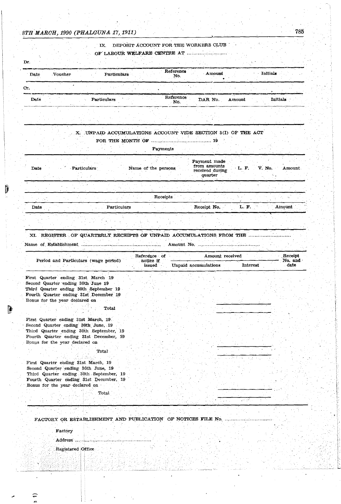# IX. DEPOSIT ACCOUNT FOR THE WORKERS CLUB

# OF LABOUR wELFARE CENTRE AT .......... : .............. .

| Reference<br>- Amount<br>Date<br>Voucher<br><b>Particulars</b><br>No.                    | Initials |  |
|------------------------------------------------------------------------------------------|----------|--|
|                                                                                          |          |  |
| Cr.                                                                                      |          |  |
| <b>MARKET STATISTICS</b><br>Reference<br>Date<br>DAR No.<br>Amount<br>Particulars<br>No. | Initials |  |

### X. UNPAID ACCUMULATIONS ACCOUNT VIDE SECTION 3(I) OF THE ACT FOR THE MONTH ·OF ...................................... 19

|                     | Payments            |                                                            |                           |
|---------------------|---------------------|------------------------------------------------------------|---------------------------|
| Particulars<br>Date | Name of the persons | Payment made<br>from amounts<br>received during<br>quarter | V. No.<br>L. F.<br>Amount |
|                     |                     |                                                            |                           |
|                     | Receipts            |                                                            |                           |
| Date                | Particulars         | Receipt No.                                                | Amount<br>F.<br>L.        |

## XI. REGISTER. OF QUARTERLY RECEIPTS OF UNPAID ACCUMULATIONS FROM THE Name of. Establishment Amount No~ ... ' ..... " ... '.' ...... -, .... ~ .. '-' ..... ~ ..

|                                         | Reference of        | Amount received      |                 | Receipt         |
|-----------------------------------------|---------------------|----------------------|-----------------|-----------------|
| Period and Particulars (wage period)    | notice if<br>issued | Unpaid accumulations | <b>Interest</b> | No. and<br>date |
| First Quarter ending 31st March 19      |                     |                      |                 |                 |
| Second Quarter ending 30th June 19      |                     |                      |                 |                 |
| Third Quarter ending 30th September 19  |                     |                      |                 |                 |
| Fourth Quarter ending 31st December 19  |                     |                      |                 |                 |
| Bonus for the year declared on          |                     |                      |                 |                 |
| Total                                   |                     |                      |                 |                 |
| First Quarter ending 31st March, 19.    |                     |                      |                 |                 |
| Second Quarter ending 30th June, 19     |                     |                      |                 |                 |
| Third Quarter ending 30th September, 19 |                     |                      |                 |                 |
| Fourth Quarter ending 31st December, 19 |                     |                      |                 |                 |
| Bonus for the year declared on          |                     |                      |                 |                 |
| Total                                   |                     |                      |                 |                 |
| First Quarter ending 31st March, 19     |                     |                      |                 |                 |
| Second Quarter ending 30th June, 19     |                     |                      |                 |                 |
| Third Quarter ending 30th September, 19 |                     |                      |                 |                 |
| Fourth Quarter ending 31st December, 19 |                     |                      |                 |                 |
| Bonus for the year declared on          |                     |                      |                 |                 |

N.

Total

#### FACTORY OR ESTABLISHMENT AND PUBLICATION OF NOTICES FILE No. ..............

#### Factory

, Address ................................ \_ ................ .

. Registered Office

. ,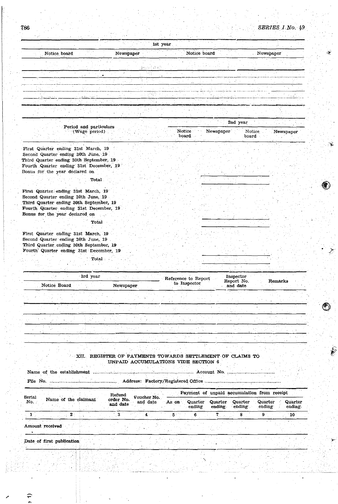|  |                              |                                              |                | 1st year     |                                       |              |                                                                                                                       |                                                           |  |
|--|------------------------------|----------------------------------------------|----------------|--------------|---------------------------------------|--------------|-----------------------------------------------------------------------------------------------------------------------|-----------------------------------------------------------|--|
|  | Notice board                 |                                              | .<br>Newspaper |              |                                       | Notice board |                                                                                                                       | Newspaper                                                 |  |
|  |                              |                                              |                | denne i stan |                                       |              |                                                                                                                       |                                                           |  |
|  | 757                          |                                              |                |              |                                       | $\cdots$     |                                                                                                                       |                                                           |  |
|  |                              |                                              |                |              |                                       |              |                                                                                                                       |                                                           |  |
|  |                              |                                              |                |              |                                       |              |                                                                                                                       |                                                           |  |
|  | ا به دا <u>ن دانس</u> تهای ر | ا <u>لتنقضية فيغرب</u> رات                   |                |              |                                       |              |                                                                                                                       |                                                           |  |
|  |                              | <b><i><u>POINT IN THE CONTRACTOR</u></i></b> |                |              |                                       |              | <b>CONTROL AND RESIDENCE OF A REPORT OF A REPORT OF A REPORT OF A REPORT OF A REPORT OF A REPORT OF A REPORT OF A</b> |                                                           |  |
|  |                              |                                              |                |              | <u>Mahabuti kacamatan sebagai per</u> |              |                                                                                                                       | AND RESIDENT AND RESIDENCE OF THE PROPERTY OF A REPORT OF |  |

| Period and particulars |        |           | 2nd year |           |
|------------------------|--------|-----------|----------|-----------|
| $\sim$ (Wage period)   | Notice | Newspaper | Notice   | Newspaper |
|                        | board  |           | board    |           |

First Quarter ending 31st March, 19 Second Quarter ending 30th June, 19 Third Quarter ending 30th September, 19 Fourth Quarter ending 31st December, 19 Bonus for the year declared on

#### $\operatorname{\mathbf{Total}}$

First Quarter ending 31st March, 19 Second Quarter ending 30th June, 19 Third Quarter ending 30th September, 19 Fourth Quarter ending 31st December, 19 Bonus for the year declared on

#### Total

First Quarter ending 31st March, 19 Second Quarter ending 30th June, 19 Third Quarter ending 30th September, 19 Fourth Quarter ending 31st December, 19

Total

|  |              | 3rd year |           | Reference to Report | Inspector              |         |
|--|--------------|----------|-----------|---------------------|------------------------|---------|
|  | Notice Board |          | Newspaper | to Inspector        | Report No.<br>and date | Remarks |
|  |              |          |           |                     |                        |         |
|  |              |          |           |                     |                        |         |
|  |              |          |           |                     |                        |         |
|  |              |          |           |                     |                        |         |

XII. REGISTER OF PAYMENTS TOWARDS SETTLEMENT OF CLAIMS TO UNPAID ACCUMULATIONS VIDE SECTION 6

|                        |  |                      |                                 |                         |       |                   | Account No. |                                             |                    |                   |
|------------------------|--|----------------------|---------------------------------|-------------------------|-------|-------------------|-------------|---------------------------------------------|--------------------|-------------------|
| File No.               |  |                      |                                 |                         |       |                   |             |                                             |                    |                   |
|                        |  |                      |                                 |                         |       |                   |             | Payment of unpaid accumulation from receipt |                    |                   |
| $_{\rm 3erial}$<br>No. |  | Name of the claimant | Refund<br>order No.<br>and date | Voucher No.<br>and date | As on | Quarter<br>ending | ending      | Quarter Quarter<br>ending                   | Quarter<br>ending. | Quarter<br>ending |
|                        |  |                      |                                 |                         |       |                   |             |                                             |                    |                   |

Amount received

Date of first publication

786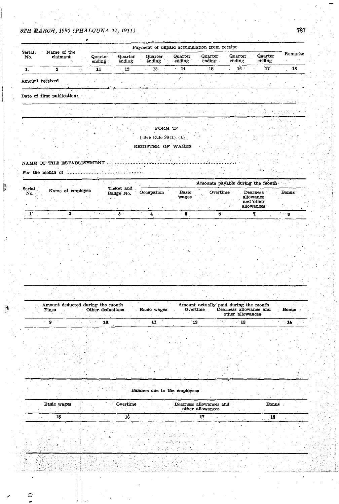|                           |                            |          |                   |                   |                          |                   | Payment of unpaid accumulation from receipt |                    |                   |         |
|---------------------------|----------------------------|----------|-------------------|-------------------|--------------------------|-------------------|---------------------------------------------|--------------------|-------------------|---------|
| Serial<br>No.             | Name of the                | claimant | Quarter<br>ending | Quarter<br>ending | <b>Quarter</b><br>ending | Quarter<br>ending | Quarter<br>ending                           | Quarter.<br>ending | Quarter<br>ending | Remarks |
|                           |                            |          | 11                | 12                | 13                       | 14                | 15                                          | 16                 | ងាក               | -18     |
| sound settled as a signal | Amount received            |          |                   |                   |                          |                   |                                             |                    |                   |         |
|                           | Date of first publication: |          |                   |                   |                          |                   |                                             |                    |                   |         |

#### ${\bf FORM}$   ${\bf D}$

k.

źН.  $\sim 10^6$ 

[ See Rule  $28(1)$  (a) ]

## REGISTER OF WAGES

Λò,  $\gamma_{\rm max}$ 

**Contract** 

# NAME OF THE ESTABLISHMENT MALLER AND CONTRACT AND THE RESTABLISHMENT

 $\mathcal{P}$ 

|               |                  |                         |            |              | Amounts payable during the month |                        |       |
|---------------|------------------|-------------------------|------------|--------------|----------------------------------|------------------------|-------|
| Serial<br>No. | Name of employee | Ticket and<br>Badge No. | Occupation | <b>Basic</b> | Overtime                         | Dearness               | Bonus |
|               |                  |                         |            | wages        |                                  | allowance<br>and other |       |
|               |                  |                         |            |              |                                  | allowances             |       |
|               |                  |                         |            |              |                                  |                        |       |

| Fines | Amount deducted during the month | Other deductions | Basic wages | Amount actually paid during the month<br>Overtime | Dearness allowance and<br>other allowances | <b>Bonus</b> |  |
|-------|----------------------------------|------------------|-------------|---------------------------------------------------|--------------------------------------------|--------------|--|
|       |                                  |                  |             |                                                   |                                            |              |  |

| Balance due to the employees |  |  |  |
|------------------------------|--|--|--|

| Basic wages | Overtime | Dearness allowances and<br>other allowances | Bonus |
|-------------|----------|---------------------------------------------|-------|
| 15          | 16       |                                             | 18    |
|             |          | 낮다. 선생님,                                    |       |
| بالقناة     |          | <b>SALE</b>                                 |       |
|             |          |                                             |       |